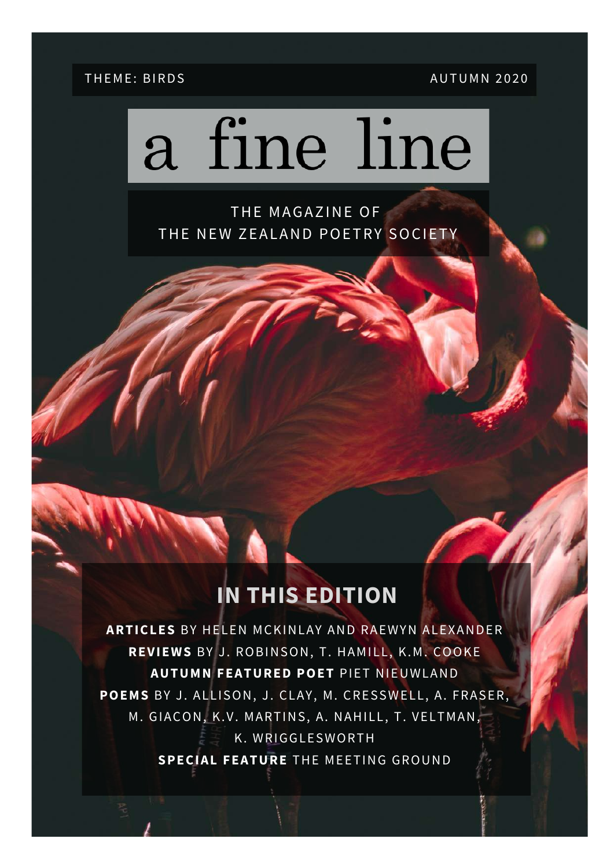#### THEME: BIRDS AUTUMN 2020

# a fine line

THE MAGAZINE OF THE NEW ZEALAND POETRY SOCIETY

### **IN THIS EDITION**

**ARTICLES** BY HELEN MCKINLAY AND RAEWYN ALEXANDER **REVIEWS** BY J. ROBINSON, T. HAMILL, K.M. COOKE **AUTUMN FEATURED POET** PIET NIEUWLAND **POEMS** BY J. ALLISON, J. CLAY, M. CRESSWELL, A. FRASER, M. GIACON, K.V. MARTINS, A. NAHILL, T. VELTMAN, K. WRIGGLESWORTH **SPECIAL FEATURE** THE MEETING GROUND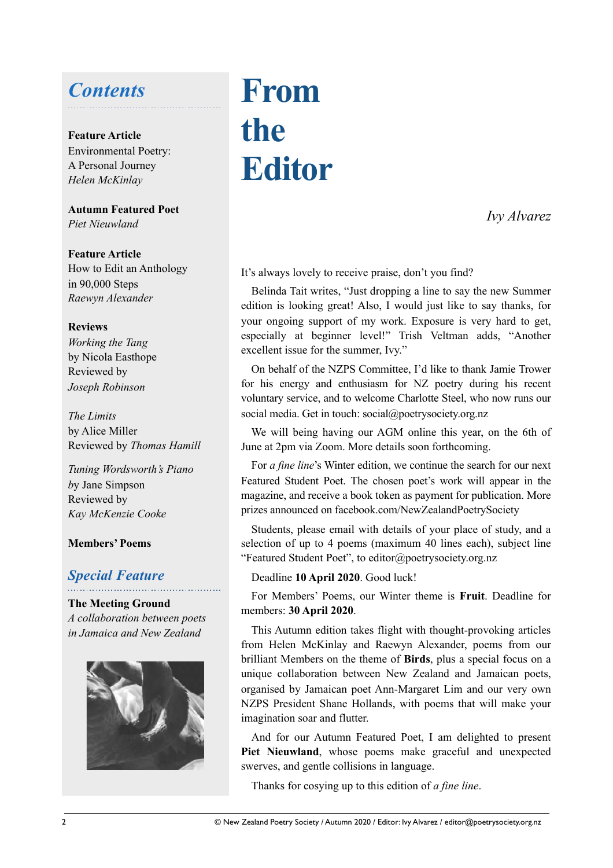### *Contents*

#### **Feature Article**

Environmental Poetry: A Personal Journey *Helen McKinlay*

**Autumn Featured Poet** *Piet Nieuwland*

**Feature Article** How to Edit an Anthology in 90,000 Steps *Raewyn Alexander*

#### **Reviews**

*Working the Tang* by Nicola Easthope Reviewed by *Joseph Robinson*

*The Limits* by Alice Miller Reviewed by *Thomas Hamill*

*Tuning Wordsworth's Piano b*y Jane Simpson Reviewed by *Kay McKenzie Cooke*

#### **Members' Poems**

### *Special Feature*

**The Meeting Ground** *A collaboration between poets in Jamaica and New Zealand*



# **From the Editor**

*Ivy Alvarez* 

It's always lovely to receive praise, don't you find?

Belinda Tait writes, "Just dropping a line to say the new Summer edition is looking great! Also, I would just like to say thanks, for your ongoing support of my work. Exposure is very hard to get, especially at beginner level!" Trish Veltman adds, "Another excellent issue for the summer, Ivy."

On behalf of the NZPS Committee, I'd like to thank Jamie Trower for his energy and enthusiasm for NZ poetry during his recent voluntary service, and to welcome Charlotte Steel, who now runs our social media. Get in touch: social@poetrysociety.org.nz

We will being having our AGM online this year, on the 6th of June at 2pm via Zoom. More details soon forthcoming.

For *a fine line*'s Winter edition, we continue the search for our next Featured Student Poet. The chosen poet's work will appear in the magazine, and receive a book token as payment for publication. More prizes announced on facebook.com/NewZealandPoetrySociety

Students, please email with details of your place of study, and a selection of up to 4 poems (maximum 40 lines each), subject line "Featured Student Poet", to editor@poetrysociety.org.nz

Deadline **10 April 2020**. Good luck!

For Members' Poems, our Winter theme is **Fruit**. Deadline for members: **30 April 2020**.

This Autumn edition takes flight with thought-provoking articles from Helen McKinlay and Raewyn Alexander, poems from our brilliant Members on the theme of **Birds**, plus a special focus on a unique collaboration between New Zealand and Jamaican poets, organised by Jamaican poet Ann-Margaret Lim and our very own NZPS President Shane Hollands, with poems that will make your imagination soar and flutter.

And for our Autumn Featured Poet, I am delighted to present **Piet Nieuwland**, whose poems make graceful and unexpected swerves, and gentle collisions in language.

Thanks for cosying up to this edition of *a fine line*.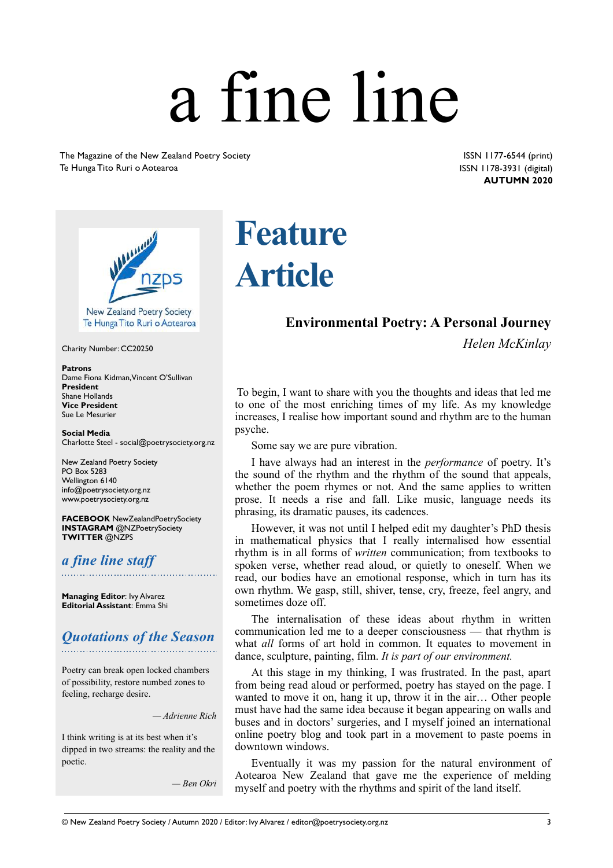# a fine line

The Magazine of the New Zealand Poetry Society Te Hunga Tito Ruri o Aotearoa

 ISSN 1177-6544 (print) ISSN 1178-3931 (digital) **AUTUMN 2020** 



Te Hunga Tito Ruri o Aotearoa

Charity Number: CC20250

#### **Patrons**

Dame Fiona Kidman, Vincent O'Sullivan **President** Shane Hollands **Vice President** Sue Le Mesurier

**Social Media** Charlotte Steel - social@poetrysociety.org.nz

New Zealand Poetry Society PO Box 5283 Wellington 6140 info@poetrysociety.org.nz www.poetrysociety.org.nz

**FACEBOOK** NewZealandPoetrySociety **INSTAGRAM** @NZPoetrySociety **TWITTER** @NZPS

#### *a fine line staff*

**Managing Editor**: Ivy Alvarez **Editorial Assistant**: Emma Shi

#### *Quotations of the Season*

Poetry can break open locked chambers of possibility, restore numbed zones to feeling, recharge desire.

*— Adrienne Rich*

I think writing is at its best when it's dipped in two streams: the reality and the poetic.

*— Ben Okri*

# **Feature Article**

#### **Environmental Poetry: A Personal Journey**

*Helen McKinlay* 

To begin, I want to share with you the thoughts and ideas that led me to one of the most enriching times of my life. As my knowledge increases, I realise how important sound and rhythm are to the human psyche.

Some say we are pure vibration.

I have always had an interest in the *performance* of poetry. It's the sound of the rhythm and the rhythm of the sound that appeals, whether the poem rhymes or not. And the same applies to written prose. It needs a rise and fall. Like music, language needs its phrasing, its dramatic pauses, its cadences.

However, it was not until I helped edit my daughter's PhD thesis in mathematical physics that I really internalised how essential rhythm is in all forms of *written* communication; from textbooks to spoken verse, whether read aloud, or quietly to oneself. When we read, our bodies have an emotional response, which in turn has its own rhythm. We gasp, still, shiver, tense, cry, freeze, feel angry, and sometimes doze off.

The internalisation of these ideas about rhythm in written communication led me to a deeper consciousness — that rhythm is what *all* forms of art hold in common. It equates to movement in dance, sculpture, painting, film. *It is part of our environment.*

At this stage in my thinking, I was frustrated. In the past, apart from being read aloud or performed, poetry has stayed on the page. I wanted to move it on, hang it up, throw it in the air… Other people must have had the same idea because it began appearing on walls and buses and in doctors' surgeries, and I myself joined an international online poetry blog and took part in a movement to paste poems in downtown windows.

Eventually it was my passion for the natural environment of Aotearoa New Zealand that gave me the experience of melding myself and poetry with the rhythms and spirit of the land itself.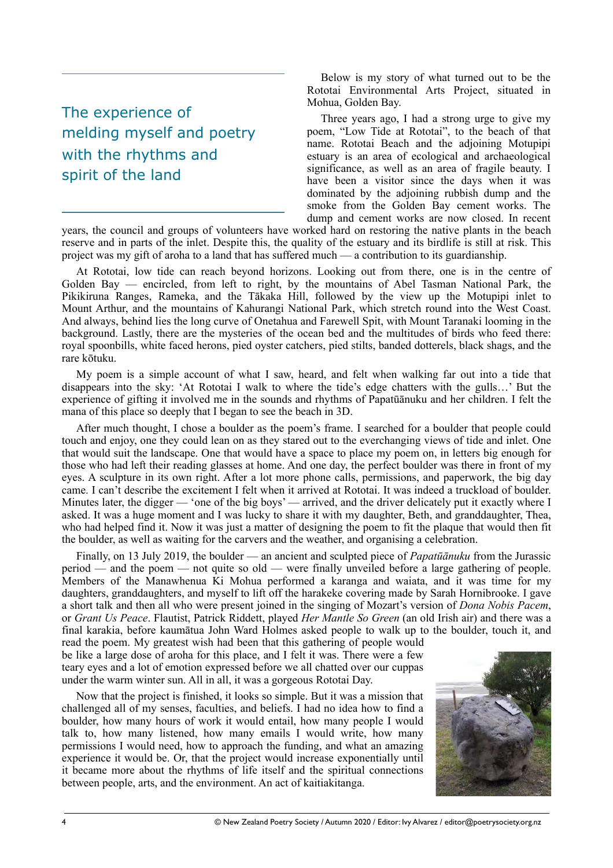### The experience of melding myself and poetry with the rhythms and spirit of the land

 Below is my story of what turned out to be the Rototai Environmental Arts Project, situated in Mohua, Golden Bay.

Three years ago, I had a strong urge to give my poem, "Low Tide at Rototai", to the beach of that name. Rototai Beach and the adjoining Motupipi estuary is an area of ecological and archaeological significance, as well as an area of fragile beauty. I have been a visitor since the days when it was dominated by the adjoining rubbish dump and the smoke from the Golden Bay cement works. The dump and cement works are now closed. In recent

years, the council and groups of volunteers have worked hard on restoring the native plants in the beach reserve and in parts of the inlet. Despite this, the quality of the estuary and its birdlife is still at risk. This project was my gift of aroha to a land that has suffered much — a contribution to its guardianship.

At Rototai, low tide can reach beyond horizons. Looking out from there, one is in the centre of Golden Bay — encircled, from left to right, by the mountains of Abel Tasman National Park, the Pikikiruna Ranges, Rameka, and the Tākaka Hill, followed by the view up the Motupipi inlet to Mount Arthur, and the mountains of Kahurangi National Park, which stretch round into the West Coast. And always, behind lies the long curve of Onetahua and Farewell Spit, with Mount Taranaki looming in the background. Lastly, there are the mysteries of the ocean bed and the multitudes of birds who feed there: royal spoonbills, white faced herons, pied oyster catchers, pied stilts, banded dotterels, black shags, and the rare kōtuku.

My poem is a simple account of what I saw, heard, and felt when walking far out into a tide that disappears into the sky: 'At Rototai I walk to where the tide's edge chatters with the gulls…' But the experience of gifting it involved me in the sounds and rhythms of Papatūānuku and her children. I felt the mana of this place so deeply that I began to see the beach in 3D.

After much thought, I chose a boulder as the poem's frame. I searched for a boulder that people could touch and enjoy, one they could lean on as they stared out to the everchanging views of tide and inlet. One that would suit the landscape. One that would have a space to place my poem on, in letters big enough for those who had left their reading glasses at home. And one day, the perfect boulder was there in front of my eyes. A sculpture in its own right. After a lot more phone calls, permissions, and paperwork, the big day came. I can't describe the excitement I felt when it arrived at Rototai. It was indeed a truckload of boulder. Minutes later, the digger — 'one of the big boys' — arrived, and the driver delicately put it exactly where I asked. It was a huge moment and I was lucky to share it with my daughter, Beth, and granddaughter, Thea, who had helped find it. Now it was just a matter of designing the poem to fit the plaque that would then fit the boulder, as well as waiting for the carvers and the weather, and organising a celebration.

Finally, on 13 July 2019, the boulder — an ancient and sculpted piece of *Papatūānuku* from the Jurassic period — and the poem — not quite so old — were finally unveiled before a large gathering of people. Members of the Manawhenua Ki Mohua performed a karanga and waiata, and it was time for my daughters, granddaughters, and myself to lift off the harakeke covering made by Sarah Hornibrooke. I gave a short talk and then all who were present joined in the singing of Mozart's version of *Dona Nobis Pacem*, or *Grant Us Peace*. Flautist, Patrick Riddett, played *Her Mantle So Green* (an old Irish air) and there was a final karakia, before kaumātua John Ward Holmes asked people to walk up to the boulder, touch it, and

read the poem. My greatest wish had been that this gathering of people would be like a large dose of aroha for this place, and I felt it was. There were a few teary eyes and a lot of emotion expressed before we all chatted over our cuppas under the warm winter sun. All in all, it was a gorgeous Rototai Day.

Now that the project is finished, it looks so simple. But it was a mission that challenged all of my senses, faculties, and beliefs. I had no idea how to find a boulder, how many hours of work it would entail, how many people I would talk to, how many listened, how many emails I would write, how many permissions I would need, how to approach the funding, and what an amazing experience it would be. Or, that the project would increase exponentially until it became more about the rhythms of life itself and the spiritual connections between people, arts, and the environment. An act of kaitiakitanga.

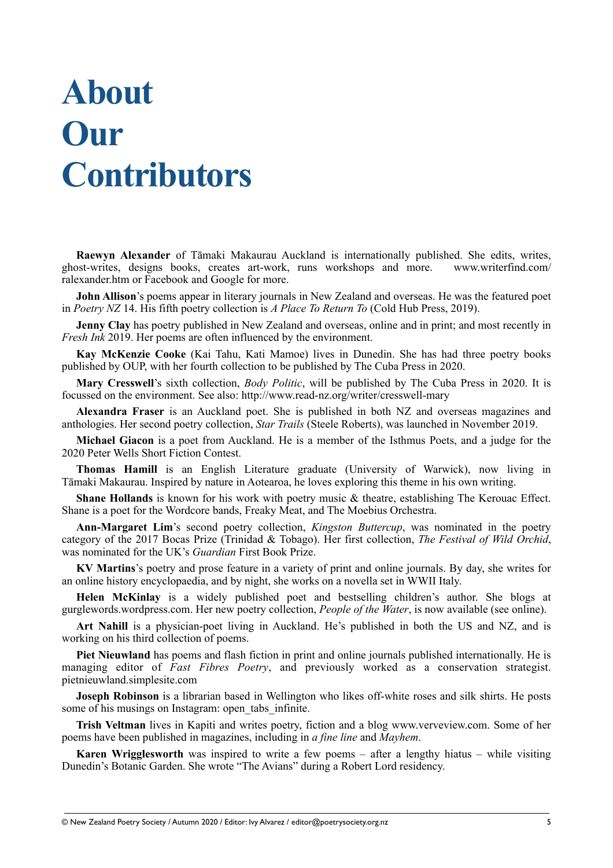# **About Our Contributors**

**Raewyn Alexander** of Tāmaki Makaurau Auckland is internationally published. She edits, writes, ghost-writes, designs books, creates art-work, runs workshops and more. www.writerfind.com/ ralexander.htm or Facebook and Google for more.

**John Allison**'s poems appear in literary journals in New Zealand and overseas. He was the featured poet in *Poetry NZ* 14. His fifth poetry collection is *A Place To Return To* (Cold Hub Press, 2019).

**Jenny Clay** has poetry published in New Zealand and overseas, online and in print; and most recently in *Fresh Ink* 2019. Her poems are often influenced by the environment.

**Kay McKenzie Cooke** (Kai Tahu, Kati Mamoe) lives in Dunedin. She has had three poetry books published by OUP, with her fourth collection to be published by The Cuba Press in 2020.

**Mary Cresswell**'s sixth collection, *Body Politic*, will be published by The Cuba Press in 2020. It is focussed on the environment. See also: http://www.read-nz.org/writer/cresswell-mary

**Alexandra Fraser** is an Auckland poet. She is published in both NZ and overseas magazines and anthologies. Her second poetry collection, *Star Trails* (Steele Roberts), was launched in November 2019.

**Michael Giacon** is a poet from Auckland. He is a member of the Isthmus Poets, and a judge for the 2020 Peter Wells Short Fiction Contest.

**Thomas Hamill** is an English Literature graduate (University of Warwick), now living in Tāmaki Makaurau. Inspired by nature in Aotearoa, he loves exploring this theme in his own writing.

**Shane Hollands** is known for his work with poetry music & theatre, establishing The Kerouac Effect. Shane is a poet for the Wordcore bands, Freaky Meat, and The Moebius Orchestra.

**Ann-Margaret Lim**'s second poetry collection, *Kingston Buttercup*, was nominated in the poetry category of the 2017 Bocas Prize (Trinidad & Tobago). Her first collection, *The Festival of Wild Orchid*, was nominated for the UK's *Guardian* First Book Prize.

**KV Martins**'s poetry and prose feature in a variety of print and online journals. By day, she writes for an online history encyclopaedia, and by night, she works on a novella set in WWII Italy.

**Helen McKinlay** is a widely published poet and bestselling children's author. She blogs at gurglewords.wordpress.com. Her new poetry collection, *People of the Water*, is now available (see online).

**Art Nahill** is a physician-poet living in Auckland. He's published in both the US and NZ, and is working on his third collection of poems.

**Piet Nieuwland** has poems and flash fiction in print and online journals published internationally. He is managing editor of *Fast Fibres Poetry*, and previously worked as a conservation strategist. pietnieuwland.simplesite.com

**Joseph Robinson** is a librarian based in Wellington who likes off-white roses and silk shirts. He posts some of his musings on Instagram: open tabs infinite.

**Trish Veltman** lives in Kapiti and writes poetry, fiction and a blog www.verveview.com. Some of her poems have been published in magazines, including in *a fine line* and *Mayhem*.

**Karen Wrigglesworth** was inspired to write a few poems – after a lengthy hiatus – while visiting Dunedin's Botanic Garden. She wrote "The Avians" during a Robert Lord residency.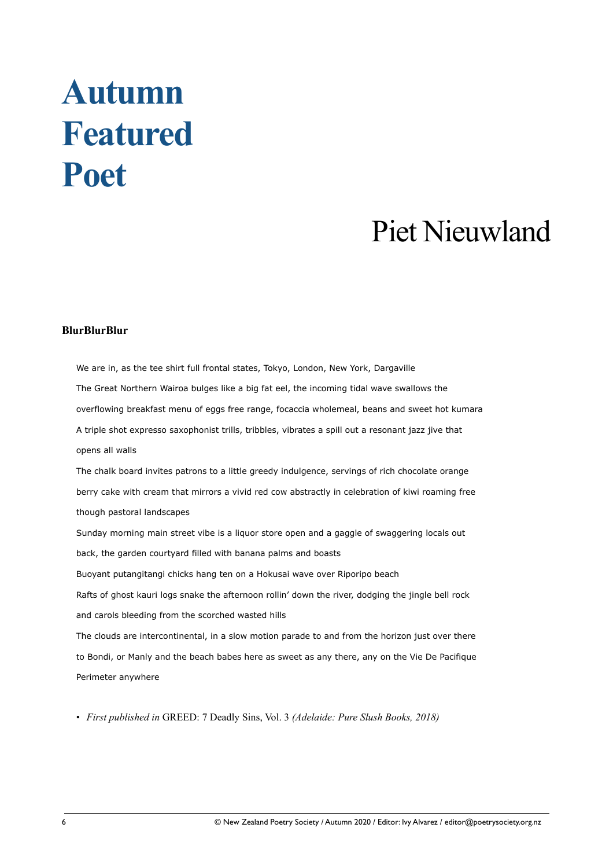# **Autumn Featured Poet**

## Piet Nieuwland

#### **BlurBlurBlur**

We are in, as the tee shirt full frontal states, Tokyo, London, New York, Dargaville The Great Northern Wairoa bulges like a big fat eel, the incoming tidal wave swallows the overflowing breakfast menu of eggs free range, focaccia wholemeal, beans and sweet hot kumara A triple shot expresso saxophonist trills, tribbles, vibrates a spill out a resonant jazz jive that opens all walls The chalk board invites patrons to a little greedy indulgence, servings of rich chocolate orange berry cake with cream that mirrors a vivid red cow abstractly in celebration of kiwi roaming free though pastoral landscapes Sunday morning main street vibe is a liquor store open and a gaggle of swaggering locals out back, the garden courtyard filled with banana palms and boasts Buoyant putangitangi chicks hang ten on a Hokusai wave over Riporipo beach Rafts of ghost kauri logs snake the afternoon rollin' down the river, dodging the jingle bell rock and carols bleeding from the scorched wasted hills The clouds are intercontinental, in a slow motion parade to and from the horizon just over there to Bondi, or Manly and the beach babes here as sweet as any there, any on the Vie De Pacifique Perimeter anywhere

• *First published in* GREED: 7 Deadly Sins, Vol. 3 *(Adelaide: Pure Slush Books, 2018)*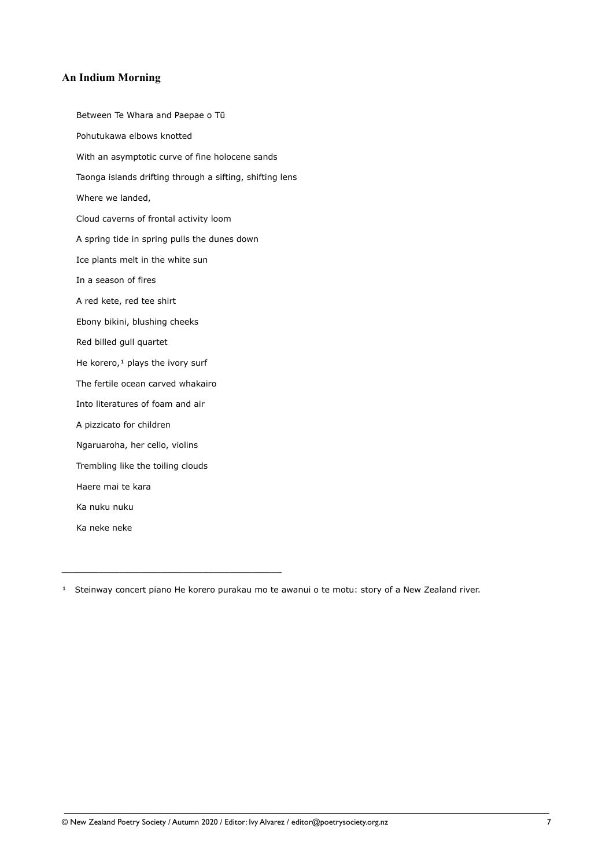#### **An Indium Morning**

Between Te Whara and Paepae o Tū Pohutukawa elbows knotted With an asymptotic curve of fine holocene sands Taonga islands drifting through a sifting, shifting lens Where we landed, Cloud caverns of frontal activity loom A spring tide in spring pulls the dunes down Ice plants melt in the white sun In a season of fires A red kete, red tee shirt Ebony bikini, blushing cheeks Red billed gull quartet He korero, $1$  plays the ivory surf The fertile ocean carved whakairo Into literatures of foam and air A pizzicato for children Ngaruaroha, her cello, violins Trembling like the toiling clouds Haere mai te kara Ka nuku nuku Ka neke neke

\_\_\_\_\_\_\_\_\_\_\_\_\_\_\_\_\_\_\_\_\_\_\_\_\_\_\_\_\_\_\_\_\_\_\_\_\_\_\_\_\_\_

 $1$  Steinway concert piano He korero purakau mo te awanui o te motu: story of a New Zealand river.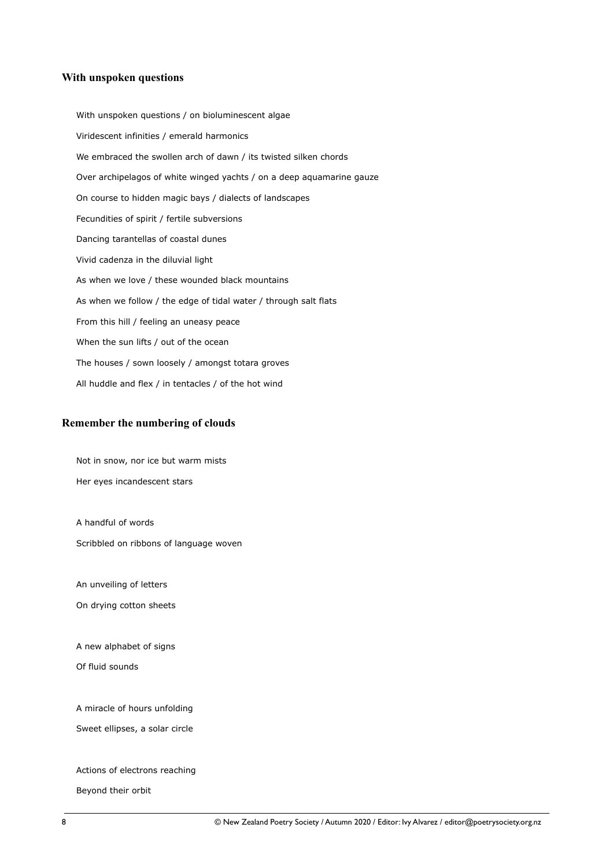#### **With unspoken questions**

With unspoken questions / on bioluminescent algae Viridescent infinities / emerald harmonics We embraced the swollen arch of dawn / its twisted silken chords Over archipelagos of white winged yachts / on a deep aquamarine gauze On course to hidden magic bays / dialects of landscapes Fecundities of spirit / fertile subversions Dancing tarantellas of coastal dunes Vivid cadenza in the diluvial light As when we love / these wounded black mountains As when we follow / the edge of tidal water / through salt flats From this hill / feeling an uneasy peace When the sun lifts / out of the ocean The houses / sown loosely / amongst totara groves All huddle and flex / in tentacles / of the hot wind

#### **Remember the numbering of clouds**

Not in snow, nor ice but warm mists Her eyes incandescent stars

A handful of words

Scribbled on ribbons of language woven

An unveiling of letters

On drying cotton sheets

A new alphabet of signs

Of fluid sounds

A miracle of hours unfolding

Sweet ellipses, a solar circle

Actions of electrons reaching

Beyond their orbit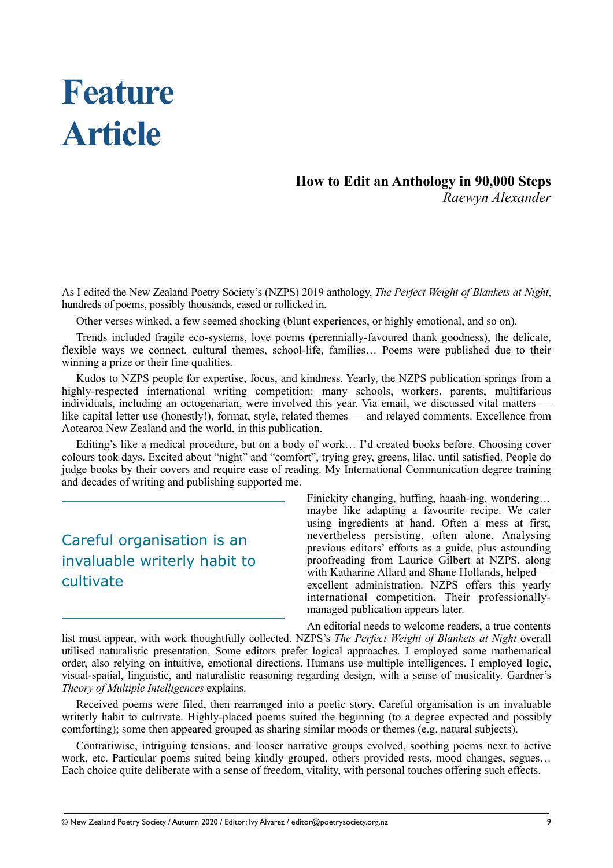# **Feature Article**

#### **How to Edit an Anthology in 90,000 Steps** *Raewyn Alexander*

As I edited the New Zealand Poetry Society's (NZPS) 2019 anthology, *The Perfect Weight of Blankets at Night*, hundreds of poems, possibly thousands, eased or rollicked in.

Other verses winked, a few seemed shocking (blunt experiences, or highly emotional, and so on).

Trends included fragile eco-systems, love poems (perennially-favoured thank goodness), the delicate, flexible ways we connect, cultural themes, school-life, families… Poems were published due to their winning a prize or their fine qualities.

Kudos to NZPS people for expertise, focus, and kindness. Yearly, the NZPS publication springs from a highly-respected international writing competition: many schools, workers, parents, multifarious individuals, including an octogenarian, were involved this year. Via email, we discussed vital matters like capital letter use (honestly!), format, style, related themes — and relayed comments. Excellence from Aotearoa New Zealand and the world, in this publication.

Editing's like a medical procedure, but on a body of work… I'd created books before. Choosing cover colours took days. Excited about "night" and "comfort", trying grey, greens, lilac, until satisfied. People do judge books by their covers and require ease of reading. My International Communication degree training and decades of writing and publishing supported me.

### Careful organisation is an invaluable writerly habit to cultivate

Finickity changing, huffing, haaah-ing, wondering… maybe like adapting a favourite recipe. We cater using ingredients at hand. Often a mess at first, nevertheless persisting, often alone. Analysing previous editors' efforts as a guide, plus astounding proofreading from Laurice Gilbert at NZPS, along with Katharine Allard and Shane Hollands, helped excellent administration. NZPS offers this yearly international competition. Their professionallymanaged publication appears later.

An editorial needs to welcome readers, a true contents

list must appear, with work thoughtfully collected. NZPS's *The Perfect Weight of Blankets at Night* overall utilised naturalistic presentation. Some editors prefer logical approaches. I employed some mathematical order, also relying on intuitive, emotional directions. Humans use multiple intelligences. I employed logic, visual-spatial, linguistic, and naturalistic reasoning regarding design, with a sense of musicality. Gardner's *Theory of Multiple Intelligences* explains.

Received poems were filed, then rearranged into a poetic story. Careful organisation is an invaluable writerly habit to cultivate. Highly-placed poems suited the beginning (to a degree expected and possibly comforting); some then appeared grouped as sharing similar moods or themes (e.g. natural subjects).

Contrariwise, intriguing tensions, and looser narrative groups evolved, soothing poems next to active work, etc. Particular poems suited being kindly grouped, others provided rests, mood changes, segues… Each choice quite deliberate with a sense of freedom, vitality, with personal touches offering such effects.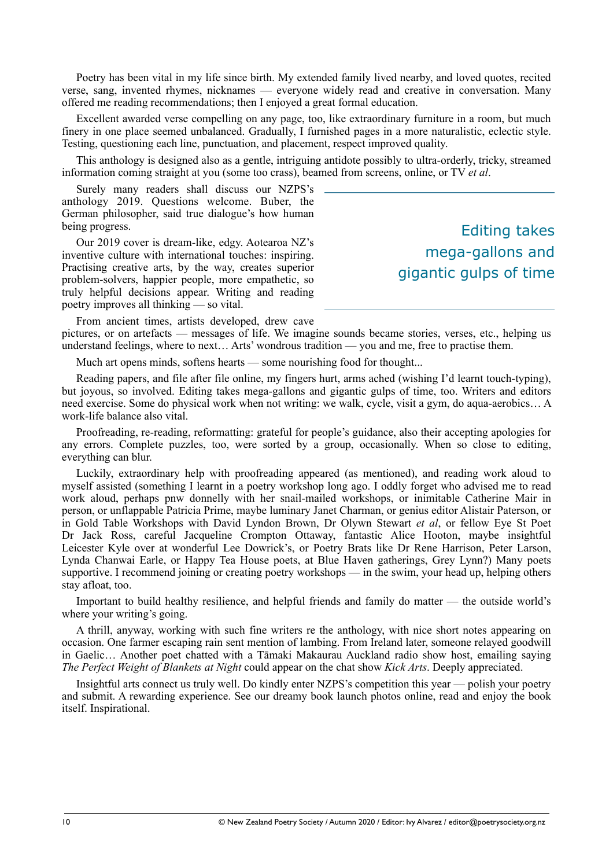Poetry has been vital in my life since birth. My extended family lived nearby, and loved quotes, recited verse, sang, invented rhymes, nicknames — everyone widely read and creative in conversation. Many offered me reading recommendations; then I enjoyed a great formal education.

Excellent awarded verse compelling on any page, too, like extraordinary furniture in a room, but much finery in one place seemed unbalanced. Gradually, I furnished pages in a more naturalistic, eclectic style. Testing, questioning each line, punctuation, and placement, respect improved quality.

This anthology is designed also as a gentle, intriguing antidote possibly to ultra-orderly, tricky, streamed information coming straight at you (some too crass), beamed from screens, online, or TV *et al*.

Surely many readers shall discuss our NZPS's anthology 2019. Questions welcome. Buber, the German philosopher, said true dialogue's how human being progress.

Our 2019 cover is dream-like, edgy. Aotearoa NZ's inventive culture with international touches: inspiring. Practising creative arts, by the way, creates superior problem-solvers, happier people, more empathetic, so truly helpful decisions appear. Writing and reading poetry improves all thinking — so vital.

Editing takes mega-gallons and gigantic gulps of time

From ancient times, artists developed, drew cave

pictures, or on artefacts — messages of life. We imagine sounds became stories, verses, etc., helping us understand feelings, where to next… Arts' wondrous tradition — you and me, free to practise them.

Much art opens minds, softens hearts — some nourishing food for thought...

Reading papers, and file after file online, my fingers hurt, arms ached (wishing I'd learnt touch-typing), but joyous, so involved. Editing takes mega-gallons and gigantic gulps of time, too. Writers and editors need exercise. Some do physical work when not writing: we walk, cycle, visit a gym, do aqua-aerobics… A work-life balance also vital.

Proofreading, re-reading, reformatting: grateful for people's guidance, also their accepting apologies for any errors. Complete puzzles, too, were sorted by a group, occasionally. When so close to editing, everything can blur.

Luckily, extraordinary help with proofreading appeared (as mentioned), and reading work aloud to myself assisted (something I learnt in a poetry workshop long ago. I oddly forget who advised me to read work aloud, perhaps pnw donnelly with her snail-mailed workshops, or inimitable Catherine Mair in person, or unflappable Patricia Prime, maybe luminary Janet Charman, or genius editor Alistair Paterson, or in Gold Table Workshops with David Lyndon Brown, Dr Olywn Stewart *et al*, or fellow Eye St Poet Dr Jack Ross, careful Jacqueline Crompton Ottaway, fantastic Alice Hooton, maybe insightful Leicester Kyle over at wonderful Lee Dowrick's, or Poetry Brats like Dr Rene Harrison, Peter Larson, Lynda Chanwai Earle, or Happy Tea House poets, at Blue Haven gatherings, Grey Lynn?) Many poets supportive. I recommend joining or creating poetry workshops — in the swim, your head up, helping others stay afloat, too.

Important to build healthy resilience, and helpful friends and family do matter — the outside world's where your writing's going.

A thrill, anyway, working with such fine writers re the anthology, with nice short notes appearing on occasion. One farmer escaping rain sent mention of lambing. From Ireland later, someone relayed goodwill in Gaelic… Another poet chatted with a Tāmaki Makaurau Auckland radio show host, emailing saying *The Perfect Weight of Blankets at Night* could appear on the chat show *Kick Arts*. Deeply appreciated.

Insightful arts connect us truly well. Do kindly enter NZPS's competition this year — polish your poetry and submit. A rewarding experience. See our dreamy book launch photos online, read and enjoy the book itself. Inspirational.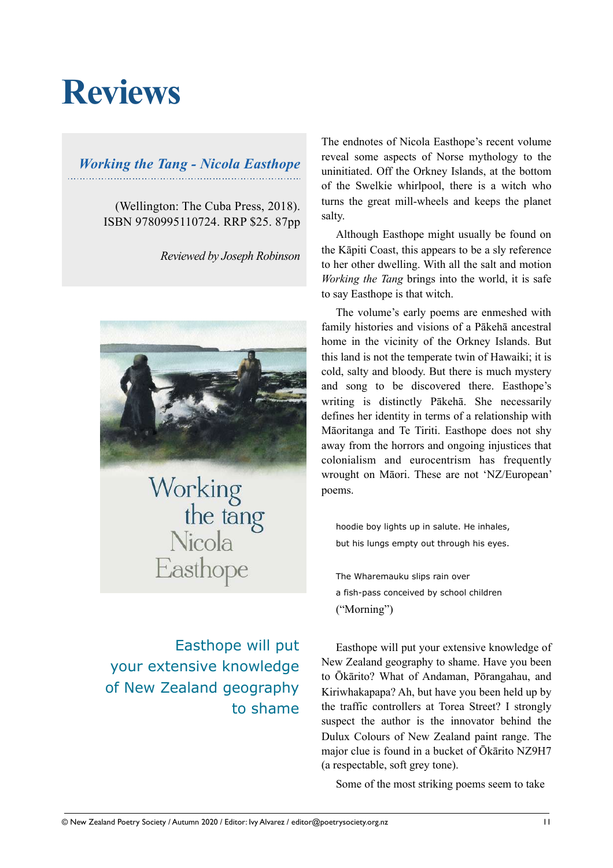# **Reviews**

### *Working the Tang - Nicola Easthope*

(Wellington: The Cuba Press, 2018). ISBN 9780995110724. RRP \$25. 87pp

*Reviewed by Joseph Robinson*



Working<br>the tang<br>Nicola Easthope

Easthope will put your extensive knowledge of New Zealand geography to shame The endnotes of Nicola Easthope's recent volume reveal some aspects of Norse mythology to the uninitiated. Off the Orkney Islands, at the bottom of the Swelkie whirlpool, there is a witch who turns the great mill-wheels and keeps the planet salty.

Although Easthope might usually be found on the Kāpiti Coast, this appears to be a sly reference to her other dwelling. With all the salt and motion *Working the Tang* brings into the world, it is safe to say Easthope is that witch.

The volume's early poems are enmeshed with family histories and visions of a Pākehā ancestral home in the vicinity of the Orkney Islands. But this land is not the temperate twin of Hawaiki; it is cold, salty and bloody. But there is much mystery and song to be discovered there. Easthope's writing is distinctly Pākehā. She necessarily defines her identity in terms of a relationship with Māoritanga and Te Tiriti. Easthope does not shy away from the horrors and ongoing injustices that colonialism and eurocentrism has frequently wrought on Māori. These are not 'NZ/European' poems.

hoodie boy lights up in salute. He inhales, but his lungs empty out through his eyes.

The Wharemauku slips rain over a fish-pass conceived by school children ("Morning")

Easthope will put your extensive knowledge of New Zealand geography to shame. Have you been to Ōkārito? What of Andaman, Pōrangahau, and Kiriwhakapapa? Ah, but have you been held up by the traffic controllers at Torea Street? I strongly suspect the author is the innovator behind the Dulux Colours of New Zealand paint range. The major clue is found in a bucket of Ōkārito NZ9H7 (a respectable, soft grey tone).

Some of the most striking poems seem to take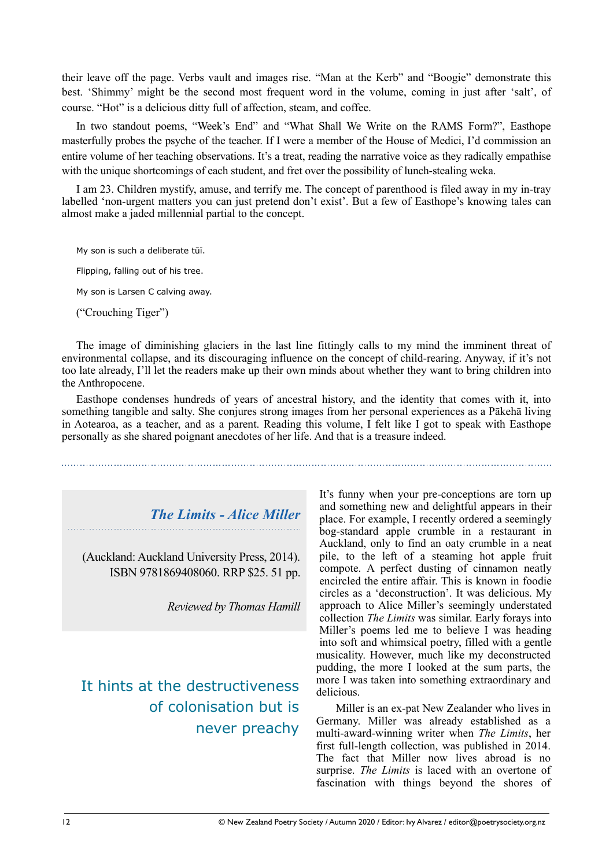their leave off the page. Verbs vault and images rise. "Man at the Kerb" and "Boogie" demonstrate this best. 'Shimmy' might be the second most frequent word in the volume, coming in just after 'salt', of course. "Hot" is a delicious ditty full of affection, steam, and coffee.

In two standout poems, "Week's End" and "What Shall We Write on the RAMS Form?", Easthope masterfully probes the psyche of the teacher. If I were a member of the House of Medici, I'd commission an entire volume of her teaching observations. It's a treat, reading the narrative voice as they radically empathise with the unique shortcomings of each student, and fret over the possibility of lunch-stealing weka.

I am 23. Children mystify, amuse, and terrify me. The concept of parenthood is filed away in my in-tray labelled 'non-urgent matters you can just pretend don't exist'. But a few of Easthope's knowing tales can almost make a jaded millennial partial to the concept.

My son is such a deliberate tūī.

Flipping, falling out of his tree.

My son is Larsen C calving away.

("Crouching Tiger")

The image of diminishing glaciers in the last line fittingly calls to my mind the imminent threat of environmental collapse, and its discouraging influence on the concept of child-rearing. Anyway, if it's not too late already, I'll let the readers make up their own minds about whether they want to bring children into the Anthropocene.

Easthope condenses hundreds of years of ancestral history, and the identity that comes with it, into something tangible and salty. She conjures strong images from her personal experiences as a Pākehā living in Aotearoa, as a teacher, and as a parent. Reading this volume, I felt like I got to speak with Easthope personally as she shared poignant anecdotes of her life. And that is a treasure indeed.

*The Limits - Alice Miller* 

(Auckland: Auckland University Press, 2014). ISBN 9781869408060. RRP \$25. 51 pp.

*Reviewed by Thomas Hamill*

It hints at the destructiveness of colonisation but is never preachy

It's funny when your pre-conceptions are torn up and something new and delightful appears in their place. For example, I recently ordered a seemingly bog-standard apple crumble in a restaurant in Auckland, only to find an oaty crumble in a neat pile, to the left of a steaming hot apple fruit compote. A perfect dusting of cinnamon neatly encircled the entire affair. This is known in foodie circles as a 'deconstruction'. It was delicious. My approach to Alice Miller's seemingly understated collection *The Limits* was similar. Early forays into Miller's poems led me to believe I was heading into soft and whimsical poetry, filled with a gentle musicality. However, much like my deconstructed pudding, the more I looked at the sum parts, the more I was taken into something extraordinary and delicious.

Miller is an ex-pat New Zealander who lives in Germany. Miller was already established as a multi-award-winning writer when *The Limits*, her first full-length collection, was published in 2014. The fact that Miller now lives abroad is no surprise. *The Limits* is laced with an overtone of fascination with things beyond the shores of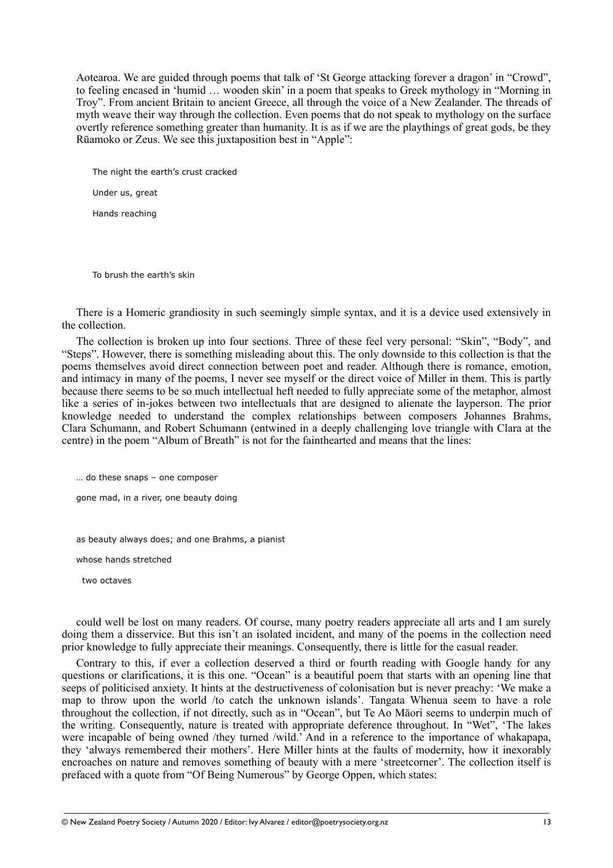Aotearoa. We are guided through poems that talk of 'St George attacking forever a dragon' in "Crowd", to feeling encased in 'humid … wooden skin' in a poem that speaks to Greek mythology in "Morning in Troy". From ancient Britain to ancient Greece, all through the voice of a New Zealander. The threads of myth weave their way through the collection. Even poems that do not speak to mythology on the surface overtly reference something greater than humanity. It is as if we are the playthings of great gods, be they Rūamoko or Zeus. We see this juxtaposition best in "Apple":

 The night the earth's crust cracked Under us, great Hands reaching

To brush the earth's skin

There is a Homeric grandiosity in such seemingly simple syntax, and it is a device used extensively in the collection.

The collection is broken up into four sections. Three of these feel very personal: "Skin", "Body", and "Steps". However, there is something misleading about this. The only downside to this collection is that the poems themselves avoid direct connection between poet and reader. Although there is romance, emotion, and intimacy in many of the poems, I never see myself or the direct voice of Miller in them. This is partly because there seems to be so much intellectual heft needed to fully appreciate some of the metaphor, almost like a series of in-jokes between two intellectuals that are designed to alienate the layperson. The prior knowledge needed to understand the complex relationships between composers Johannes Brahms, Clara Schumann, and Robert Schumann (entwined in a deeply challenging love triangle with Clara at the centre) in the poem "Album of Breath" is not for the fainthearted and means that the lines:

… do these snaps – one composer

gone mad, in a river, one beauty doing

as beauty always does; and one Brahms, a pianist

whose hands stretched

two octaves

could well be lost on many readers. Of course, many poetry readers appreciate all arts and I am surely doing them a disservice. But this isn't an isolated incident, and many of the poems in the collection need prior knowledge to fully appreciate their meanings. Consequently, there is little for the casual reader.

Contrary to this, if ever a collection deserved a third or fourth reading with Google handy for any questions or clarifications, it is this one. "Ocean" is a beautiful poem that starts with an opening line that seeps of politicised anxiety. It hints at the destructiveness of colonisation but is never preachy: 'We make a map to throw upon the world /to catch the unknown islands'. Tangata Whenua seem to have a role throughout the collection, if not directly, such as in "Ocean", but Te Ao Māori seems to underpin much of the writing. Consequently, nature is treated with appropriate deference throughout. In "Wet", 'The lakes were incapable of being owned /they turned /wild.' And in a reference to the importance of whakapapa, they 'always remembered their mothers'. Here Miller hints at the faults of modernity, how it inexorably encroaches on nature and removes something of beauty with a mere 'streetcorner'. The collection itself is prefaced with a quote from "Of Being Numerous" by George Oppen, which states: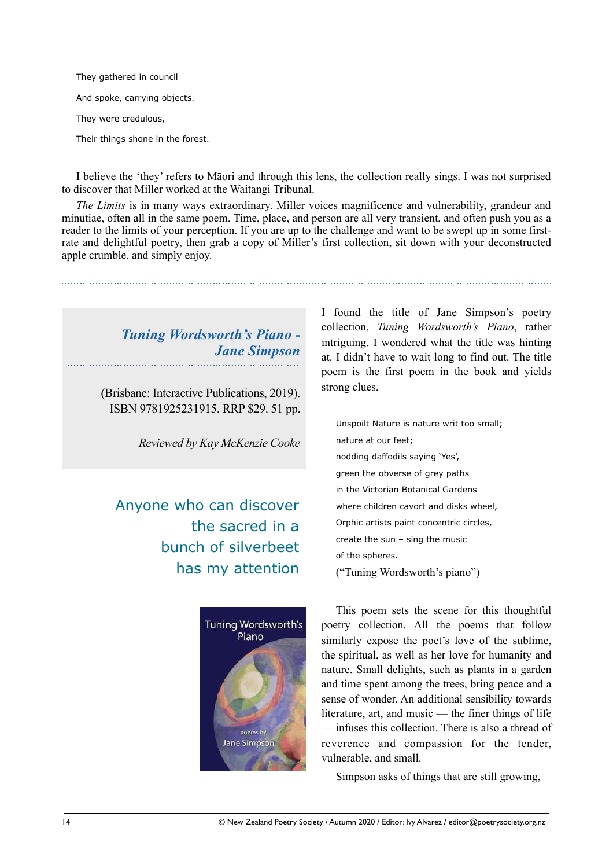They gathered in council And spoke, carrying objects. They were credulous, Their things shone in the forest.

I believe the 'they' refers to Māori and through this lens, the collection really sings. I was not surprised to discover that Miller worked at the Waitangi Tribunal.

*The Limits* is in many ways extraordinary. Miller voices magnificence and vulnerability, grandeur and minutiae, often all in the same poem. Time, place, and person are all very transient, and often push you as a reader to the limits of your perception. If you are up to the challenge and want to be swept up in some firstrate and delightful poetry, then grab a copy of Miller's first collection, sit down with your deconstructed apple crumble, and simply enjoy.

### *Tuning Wordsworth's Piano - Jane Simpson*

(Brisbane: Interactive Publications, 2019). ISBN 9781925231915. RRP \$29. 51 pp.

*Reviewed by Kay McKenzie Cooke*

### Anyone who can discover the sacred in a bunch of silverbeet has my attention



I found the title of Jane Simpson's poetry collection, *Tuning Wordsworth's Piano*, rather intriguing. I wondered what the title was hinting at. I didn't have to wait long to find out. The title poem is the first poem in the book and yields strong clues.

Unspoilt Nature is nature writ too small; nature at our feet; nodding daffodils saying 'Yes', green the obverse of grey paths in the Victorian Botanical Gardens where children cavort and disks wheel, Orphic artists paint concentric circles, create the sun – sing the music of the spheres. ("Tuning Wordsworth's piano")

This poem sets the scene for this thoughtful poetry collection. All the poems that follow similarly expose the poet's love of the sublime, the spiritual, as well as her love for humanity and nature. Small delights, such as plants in a garden and time spent among the trees, bring peace and a sense of wonder. An additional sensibility towards literature, art, and music — the finer things of life — infuses this collection. There is also a thread of reverence and compassion for the tender, vulnerable, and small.

Simpson asks of things that are still growing,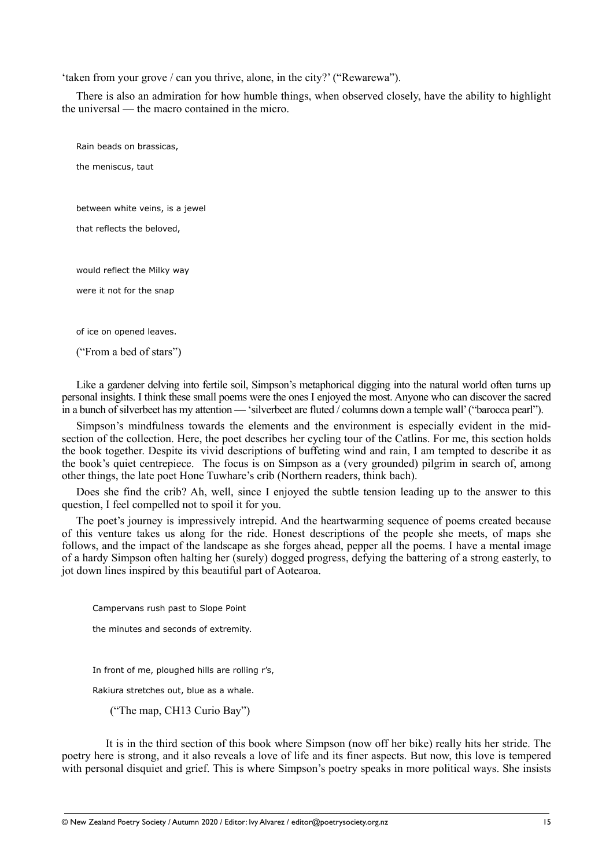'taken from your grove / can you thrive, alone, in the city?' ("Rewarewa").

There is also an admiration for how humble things, when observed closely, have the ability to highlight the universal — the macro contained in the micro.

Rain beads on brassicas, the meniscus, taut between white veins, is a jewel that reflects the beloved, would reflect the Milky way were it not for the snap of ice on opened leaves. ("From a bed of stars")

Like a gardener delving into fertile soil, Simpson's metaphorical digging into the natural world often turns up personal insights. I think these small poems were the ones I enjoyed the most. Anyone who can discover the sacred in a bunch of silverbeet has my attention — 'silverbeet are fluted / columns down a temple wall' ("barocca pearl").

Simpson's mindfulness towards the elements and the environment is especially evident in the midsection of the collection. Here, the poet describes her cycling tour of the Catlins. For me, this section holds the book together. Despite its vivid descriptions of buffeting wind and rain, I am tempted to describe it as the book's quiet centrepiece. The focus is on Simpson as a (very grounded) pilgrim in search of, among other things, the late poet Hone Tuwhare's crib (Northern readers, think bach).

Does she find the crib? Ah, well, since I enjoyed the subtle tension leading up to the answer to this question, I feel compelled not to spoil it for you.

The poet's journey is impressively intrepid. And the heartwarming sequence of poems created because of this venture takes us along for the ride. Honest descriptions of the people she meets, of maps she follows, and the impact of the landscape as she forges ahead, pepper all the poems. I have a mental image of a hardy Simpson often halting her (surely) dogged progress, defying the battering of a strong easterly, to jot down lines inspired by this beautiful part of Aotearoa.

Campervans rush past to Slope Point

the minutes and seconds of extremity.

In front of me, ploughed hills are rolling r's,

Rakiura stretches out, blue as a whale.

("The map, CH13 Curio Bay")

 It is in the third section of this book where Simpson (now off her bike) really hits her stride. The poetry here is strong, and it also reveals a love of life and its finer aspects. But now, this love is tempered with personal disquiet and grief. This is where Simpson's poetry speaks in more political ways. She insists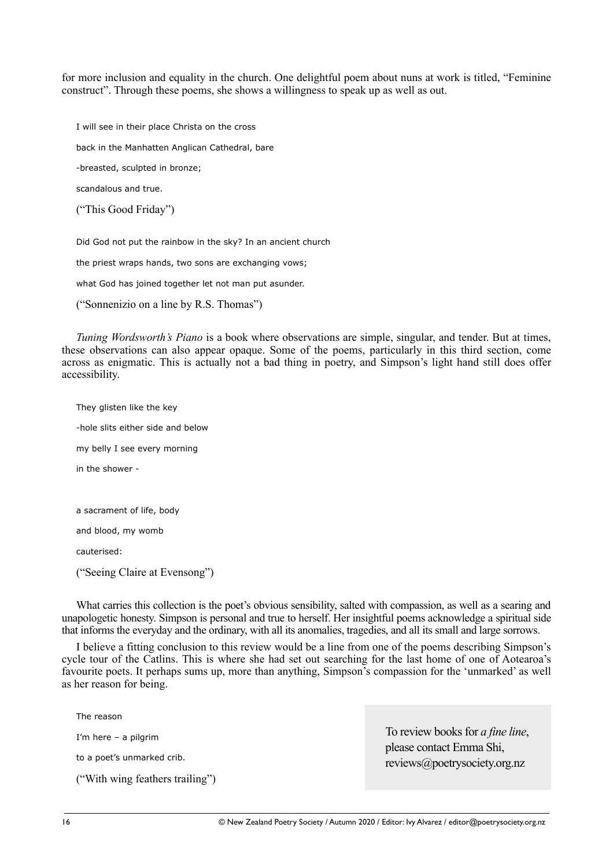for more inclusion and equality in the church. One delightful poem about nuns at work is titled, "Feminine construct". Through these poems, she shows a willingness to speak up as well as out.

I will see in their place Christa on the cross

back in the Manhatten Anglican Cathedral, bare

-breasted, sculpted in bronze;

scandalous and true.

("This Good Friday")

Did God not put the rainbow in the sky? In an ancient church

the priest wraps hands, two sons are exchanging vows;

what God has joined together let not man put asunder.

("Sonnenizio on a line by R.S. Thomas")

*Tuning Wordsworth's Piano* is a book where observations are simple, singular, and tender. But at times, these observations can also appear opaque. Some of the poems, particularly in this third section, come across as enigmatic. This is actually not a bad thing in poetry, and Simpson's light hand still does offer accessibility.

They glisten like the key -hole slits either side and below my belly I see every morning in the shower a sacrament of life, body and blood, my womb cauterised:

("Seeing Claire at Evensong")

What carries this collection is the poet's obvious sensibility, salted with compassion, as well as a searing and unapologetic honesty. Simpson is personal and true to herself. Her insightful poems acknowledge a spiritual side that informs the everyday and the ordinary, with all its anomalies, tragedies, and all its small and large sorrows.

I believe a fitting conclusion to this review would be a line from one of the poems describing Simpson's cycle tour of the Catlins. This is where she had set out searching for the last home of one of Aotearoa's favourite poets. It perhaps sums up, more than anything, Simpson's compassion for the 'unmarked' as well as her reason for being.

The reason

I'm here – a pilgrim

to a poet's unmarked crib.

("With wing feathers trailing")

To review books for *a fine line*, please contact Emma Shi, reviews@poetrysociety.org.nz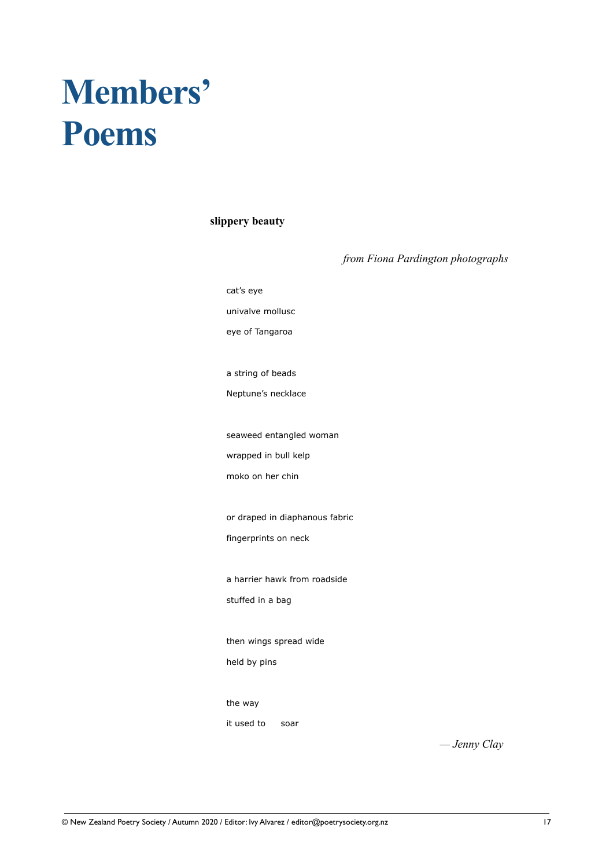# **Members' Poems**

#### **slippery beauty**

| from Fiona Pardington photographs |
|-----------------------------------|
| cat's eye                         |
| univalve mollusc                  |
| eye of Tangaroa                   |
|                                   |
| a string of beads                 |
| Neptune's necklace                |
|                                   |
| seaweed entangled woman           |
| wrapped in bull kelp              |
| moko on her chin                  |
|                                   |
| or draped in diaphanous fabric    |
| fingerprints on neck              |
|                                   |
| a harrier hawk from roadside      |
| stuffed in a bag                  |
|                                   |
| then wings spread wide            |
| held by pins                      |
|                                   |
| the way                           |
| it used to<br>soar                |

*— Jenny Clay*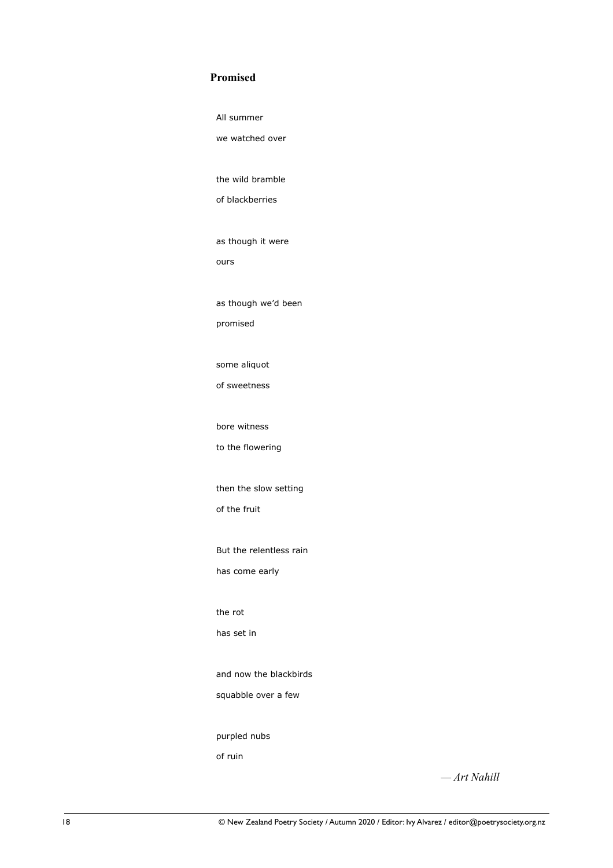#### **Promised**

 All summer we watched over the wild bramble of blackberries as though it were ours as though we'd been promised some aliquot of sweetness bore witness to the flowering then the slow setting of the fruit But the relentless rain has come early the rot has set in and now the blackbirds squabble over a few purpled nubs of ruin

*— Art Nahill*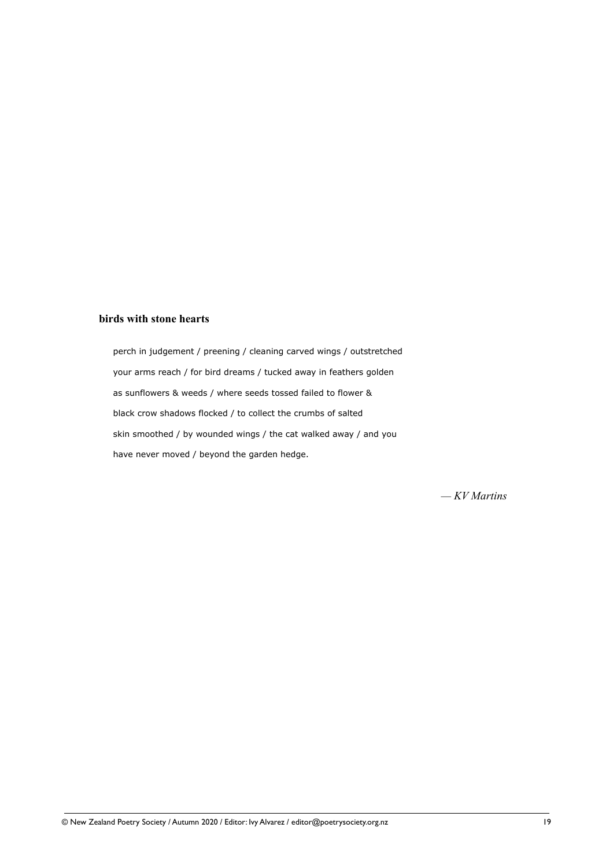#### **birds with stone hearts**

 perch in judgement / preening / cleaning carved wings / outstretched your arms reach / for bird dreams / tucked away in feathers golden as sunflowers & weeds / where seeds tossed failed to flower & black crow shadows flocked / to collect the crumbs of salted skin smoothed / by wounded wings / the cat walked away / and you have never moved / beyond the garden hedge.

*— KV Martins*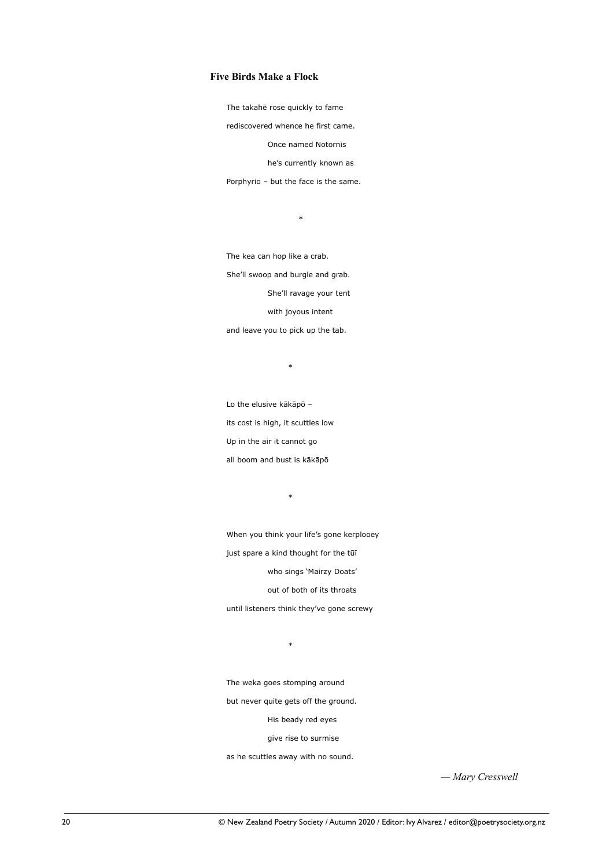#### **Five Birds Make a Flock**

The takahē rose quickly to fame

rediscovered whence he first came.

Once named Notornis

he's currently known as

Porphyrio – but the face is the same.

 $*$  and  $*$  and  $*$  and  $*$  and  $*$  and  $*$ 

 The kea can hop like a crab. She'll swoop and burgle and grab. She'll ravage your tent with joyous intent and leave you to pick up the tab.

\*

 Lo the elusive kākāpō – its cost is high, it scuttles low Up in the air it cannot go all boom and bust is kākāpō

\*

 When you think your life's gone kerplooey just spare a kind thought for the tūī who sings 'Mairzy Doats'

out of both of its throats

until listeners think they've gone screwy

 $*$ 

The weka goes stomping around

but never quite gets off the ground.

His beady red eyes

give rise to surmise

as he scuttles away with no sound.

*— Mary Cresswell*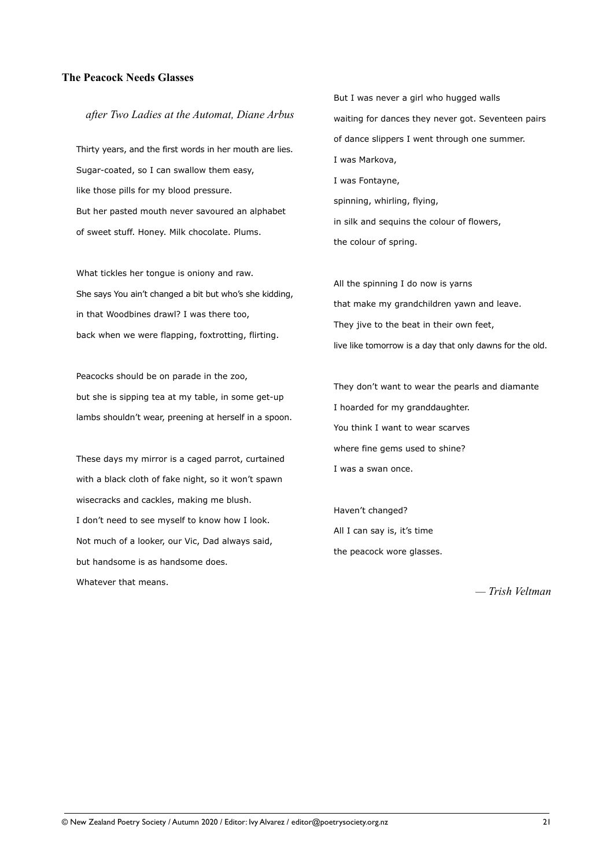#### **The Peacock Needs Glasses**

#### *after Two Ladies at the Automat, Diane Arbus*

Thirty years, and the first words in her mouth are lies. Sugar-coated, so I can swallow them easy, like those pills for my blood pressure. But her pasted mouth never savoured an alphabet of sweet stuff. Honey. Milk chocolate. Plums.

What tickles her tongue is oniony and raw. She says You ain't changed a bit but who's she kidding, in that Woodbines drawl? I was there too, back when we were flapping, foxtrotting, flirting.

Peacocks should be on parade in the zoo, but she is sipping tea at my table, in some get-up lambs shouldn't wear, preening at herself in a spoon.

These days my mirror is a caged parrot, curtained with a black cloth of fake night, so it won't spawn wisecracks and cackles, making me blush. I don't need to see myself to know how I look. Not much of a looker, our Vic, Dad always said, but handsome is as handsome does. Whatever that means.

But I was never a girl who hugged walls waiting for dances they never got. Seventeen pairs of dance slippers I went through one summer. I was Markova, I was Fontayne, spinning, whirling, flying, in silk and sequins the colour of flowers, the colour of spring.

All the spinning I do now is yarns that make my grandchildren yawn and leave. They jive to the beat in their own feet, live like tomorrow is a day that only dawns for the old.

They don't want to wear the pearls and diamante I hoarded for my granddaughter. You think I want to wear scarves where fine gems used to shine? I was a swan once.

Haven't changed? All I can say is, it's time the peacock wore glasses.

*— Trish Veltman*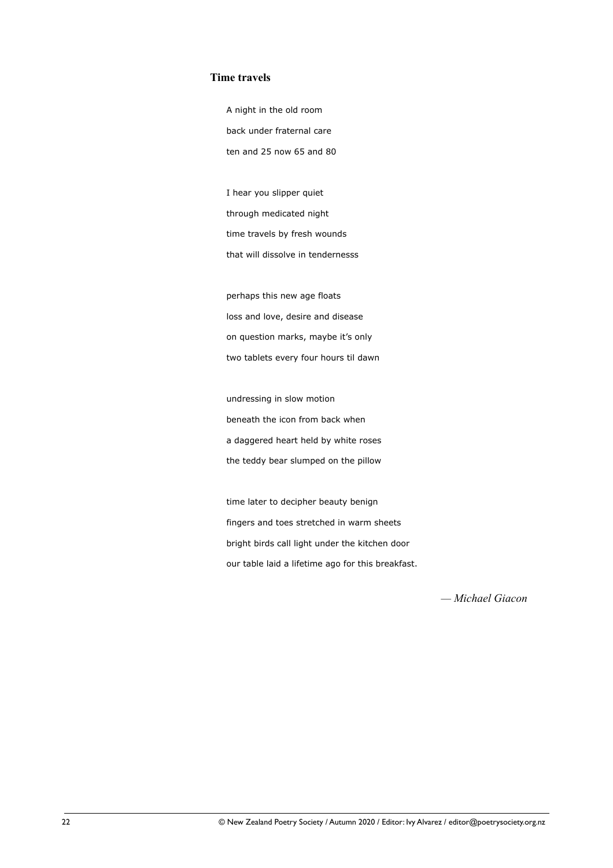#### **Time travels**

 A night in the old room back under fraternal care ten and 25 now 65 and 80

 I hear you slipper quiet through medicated night time travels by fresh wounds that will dissolve in tendernesss

 perhaps this new age floats loss and love, desire and disease on question marks, maybe it's only two tablets every four hours til dawn

 undressing in slow motion beneath the icon from back when a daggered heart held by white roses the teddy bear slumped on the pillow

 time later to decipher beauty benign fingers and toes stretched in warm sheets bright birds call light under the kitchen door our table laid a lifetime ago for this breakfast.

*— Michael Giacon*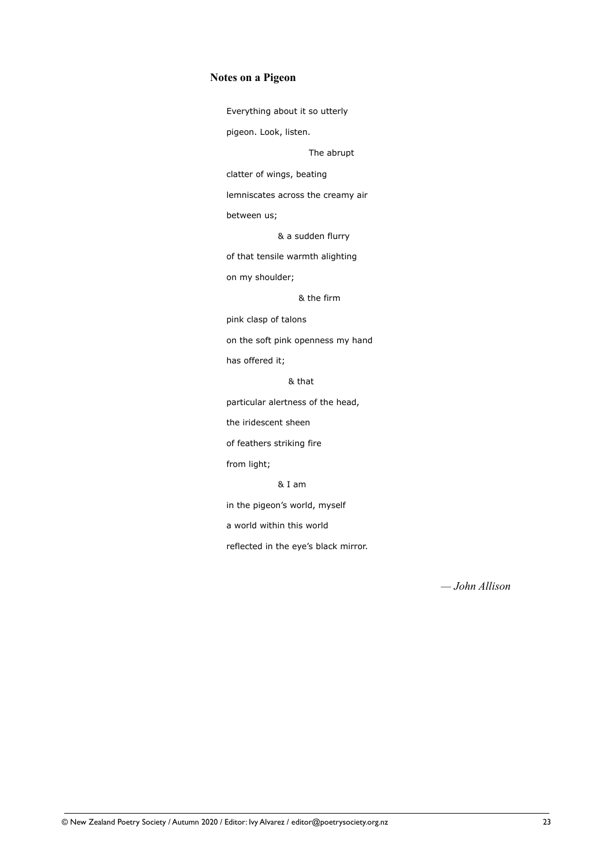#### **Notes on a Pigeon**

Everything about it so utterly

pigeon. Look, listen.

The abrupt

clatter of wings, beating

lemniscates across the creamy air

between us;

& a sudden flurry

of that tensile warmth alighting

on my shoulder;

& the firm

pink clasp of talons

on the soft pink openness my hand

has offered it;

& that

particular alertness of the head,

the iridescent sheen

of feathers striking fire

from light;

& I am

in the pigeon's world, myself

a world within this world

reflected in the eye's black mirror.

*— John Allison*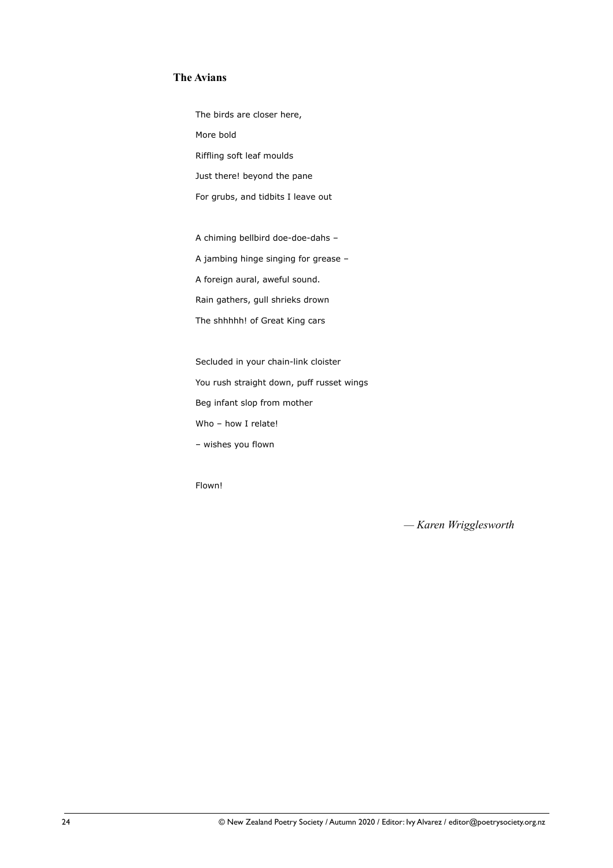#### **The Avians**

 The birds are closer here, More bold Riffling soft leaf moulds Just there! beyond the pane For grubs, and tidbits I leave out

A chiming bellbird doe-doe-dahs –

A jambing hinge singing for grease –

A foreign aural, aweful sound.

Rain gathers, gull shrieks drown

The shhhhh! of Great King cars

 Secluded in your chain-link cloister You rush straight down, puff russet wings

Beg infant slop from mother

Who – how I relate!

– wishes you flown

Flown!

*— Karen Wrigglesworth*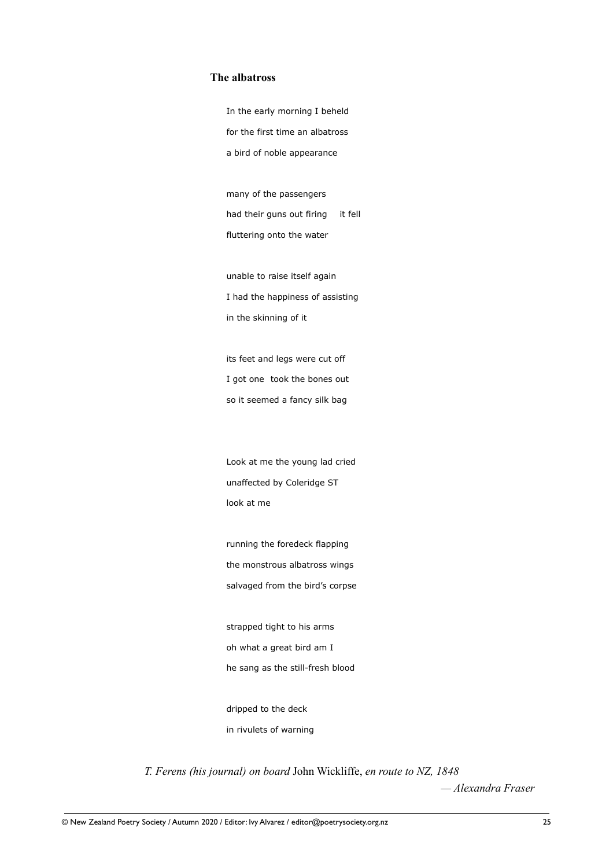#### **The albatross**

 In the early morning I beheld for the first time an albatross a bird of noble appearance

 many of the passengers had their guns out firing it fell fluttering onto the water

 unable to raise itself again I had the happiness of assisting in the skinning of it

 its feet and legs were cut off I got one took the bones out so it seemed a fancy silk bag

 Look at me the young lad cried unaffected by Coleridge ST look at me

 running the foredeck flapping the monstrous albatross wings salvaged from the bird's corpse

 strapped tight to his arms oh what a great bird am I he sang as the still-fresh blood

 dripped to the deck in rivulets of warning

*T. Ferens (his journal) on board* John Wickliffe, *en route to NZ, 1848* 

*— Alexandra Fraser*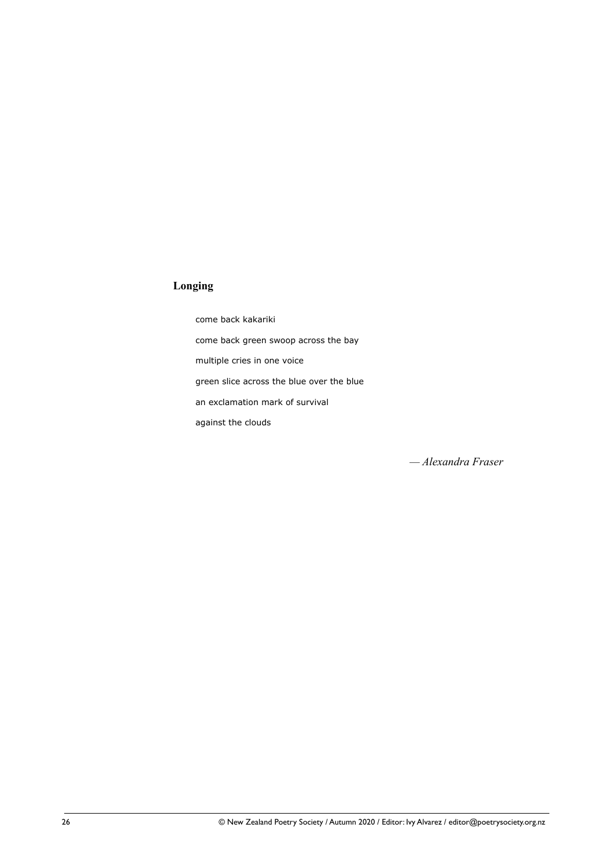#### **Longing**

 come back kakariki come back green swoop across the bay multiple cries in one voice green slice across the blue over the blue an exclamation mark of survival against the clouds

*— Alexandra Fraser*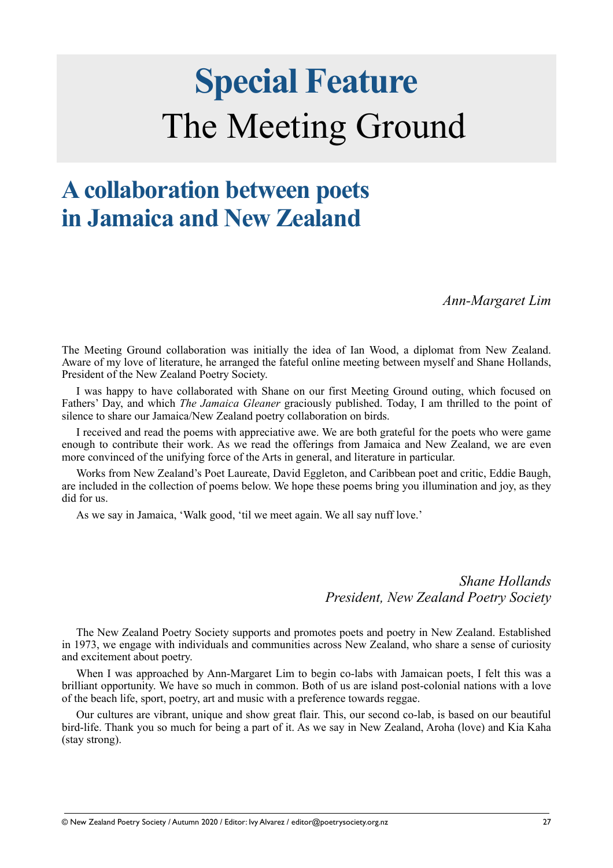# **Special Feature**  The Meeting Ground

### **A collaboration between poets in Jamaica and New Zealand**

*Ann-Margaret Lim*

The Meeting Ground collaboration was initially the idea of Ian Wood, a diplomat from New Zealand. Aware of my love of literature, he arranged the fateful online meeting between myself and Shane Hollands, President of the New Zealand Poetry Society.

I was happy to have collaborated with Shane on our first Meeting Ground outing, which focused on Fathers' Day, and which *The Jamaica Gleaner* graciously published. Today, I am thrilled to the point of silence to share our Jamaica/New Zealand poetry collaboration on birds.

I received and read the poems with appreciative awe. We are both grateful for the poets who were game enough to contribute their work. As we read the offerings from Jamaica and New Zealand, we are even more convinced of the unifying force of the Arts in general, and literature in particular.

Works from New Zealand's Poet Laureate, David Eggleton, and Caribbean poet and critic, Eddie Baugh, are included in the collection of poems below. We hope these poems bring you illumination and joy, as they did for us.

As we say in Jamaica, 'Walk good, 'til we meet again. We all say nuff love.'

*Shane Hollands President, New Zealand Poetry Society*

The New Zealand Poetry Society supports and promotes poets and poetry in New Zealand. Established in 1973, we engage with individuals and communities across New Zealand, who share a sense of curiosity and excitement about poetry.

When I was approached by Ann-Margaret Lim to begin co-labs with Jamaican poets. I felt this was a brilliant opportunity. We have so much in common. Both of us are island post-colonial nations with a love of the beach life, sport, poetry, art and music with a preference towards reggae.

Our cultures are vibrant, unique and show great flair. This, our second co-lab, is based on our beautiful bird-life. Thank you so much for being a part of it. As we say in New Zealand, Aroha (love) and Kia Kaha (stay strong).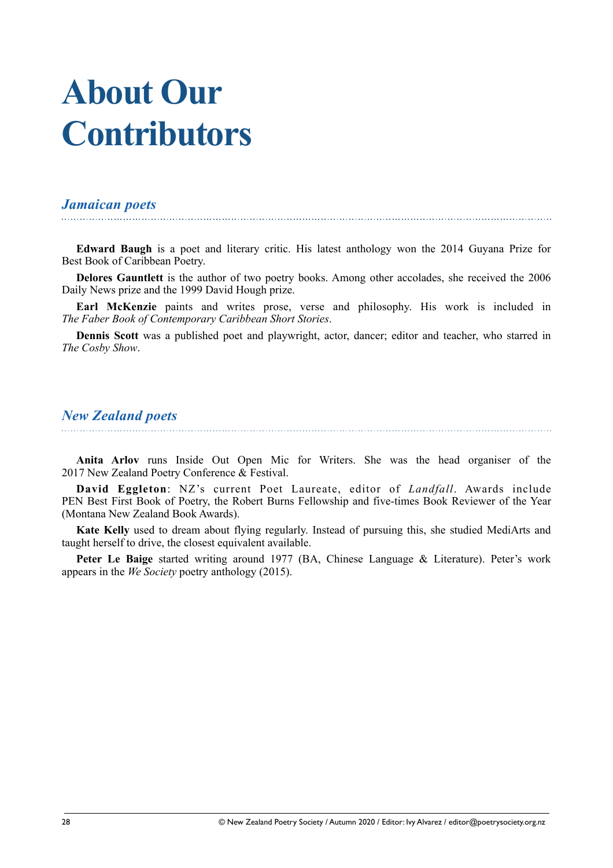# **About Our Contributors**

#### *Jamaican poets*

**Edward Baugh** is a poet and literary critic. His latest anthology won the 2014 Guyana Prize for Best Book of Caribbean Poetry.

**Delores Gauntlett** is the author of two poetry books. Among other accolades, she received the 2006 Daily News prize and the 1999 David Hough prize.

**Earl McKenzie** paints and writes prose, verse and philosophy. His work is included in *The Faber Book of Contemporary Caribbean Short Stories*.

**Dennis Scott** was a published poet and playwright, actor, dancer; editor and teacher, who starred in *The Cosby Show*.

#### *New Zealand poets*

**Anita Arlov** runs Inside Out Open Mic for Writers. She was the head organiser of the 2017 New Zealand Poetry Conference & Festival.

**David Eggleton**: NZ's current Poet Laureate, editor of *Landfall*. Awards include PEN Best First Book of Poetry, the Robert Burns Fellowship and five-times Book Reviewer of the Year (Montana New Zealand Book Awards).

**Kate Kelly** used to dream about flying regularly. Instead of pursuing this, she studied MediArts and taught herself to drive, the closest equivalent available.

Peter Le Baige started writing around 1977 (BA, Chinese Language & Literature). Peter's work appears in the *We Society* poetry anthology (2015).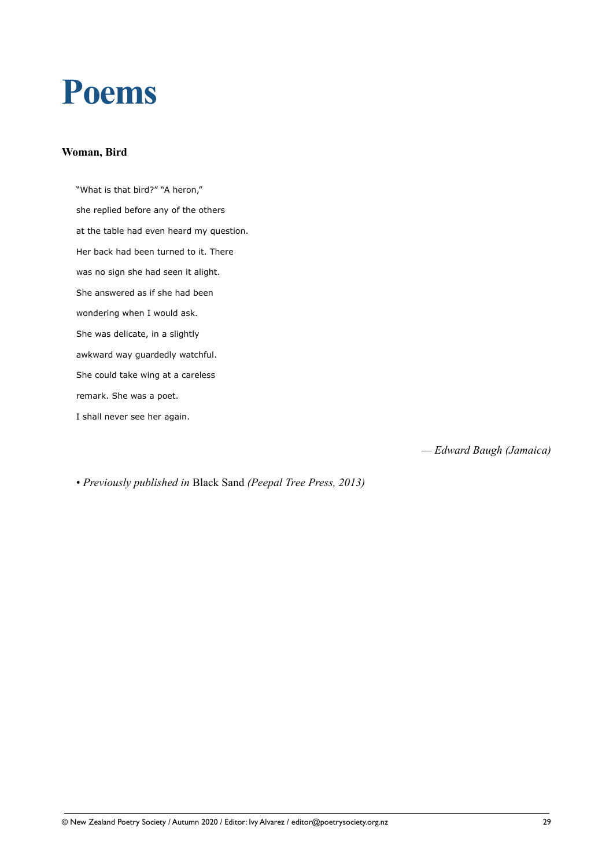## **Poems**

#### **Woman, Bird**

"What is that bird?" "A heron," she replied before any of the others at the table had even heard my question. Her back had been turned to it. There was no sign she had seen it alight. She answered as if she had been wondering when I would ask. She was delicate, in a slightly awkward way guardedly watchful. She could take wing at a careless remark. She was a poet. I shall never see her again.

*— Edward Baugh (Jamaica)* 

• *Previously published in* Black Sand *(Peepal Tree Press, 2013)*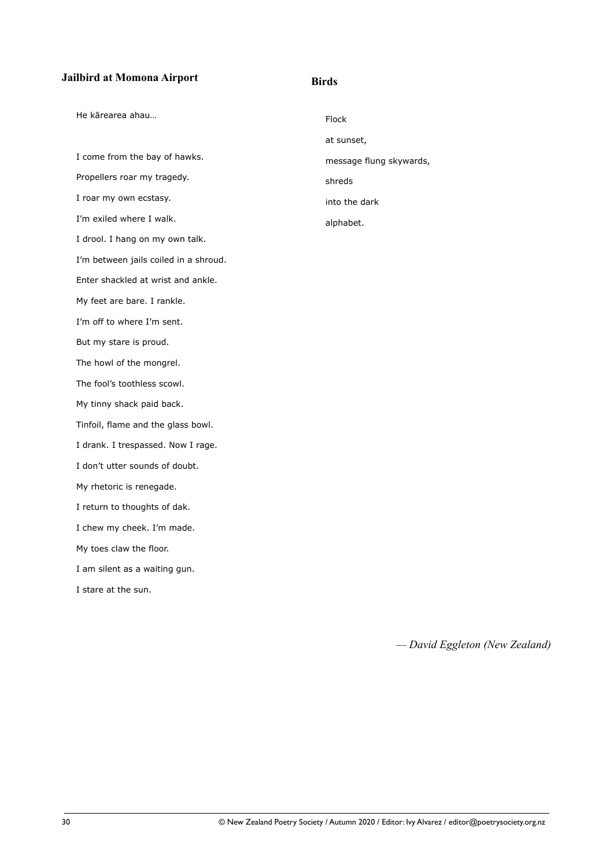#### **Jailbird at Momona Airport**

#### He kārearea ahau…

I come from the bay of hawks. Propellers roar my tragedy. I roar my own ecstasy. I'm exiled where I walk. I drool. I hang on my own talk. I'm between jails coiled in a shroud. Enter shackled at wrist and ankle. My feet are bare. I rankle. I'm off to where I'm sent. But my stare is proud. The howl of the mongrel. The fool's toothless scowl. My tinny shack paid back. Tinfoil, flame and the glass bowl. I drank. I trespassed. Now I rage. I don't utter sounds of doubt. My rhetoric is renegade. I return to thoughts of dak. I chew my cheek. I'm made. My toes claw the floor. I am silent as a waiting gun.

I stare at the sun.

Flock at sunset, message flung skywards, shreds into the dark alphabet.

**Birds** 

*— David Eggleton (New Zealand)*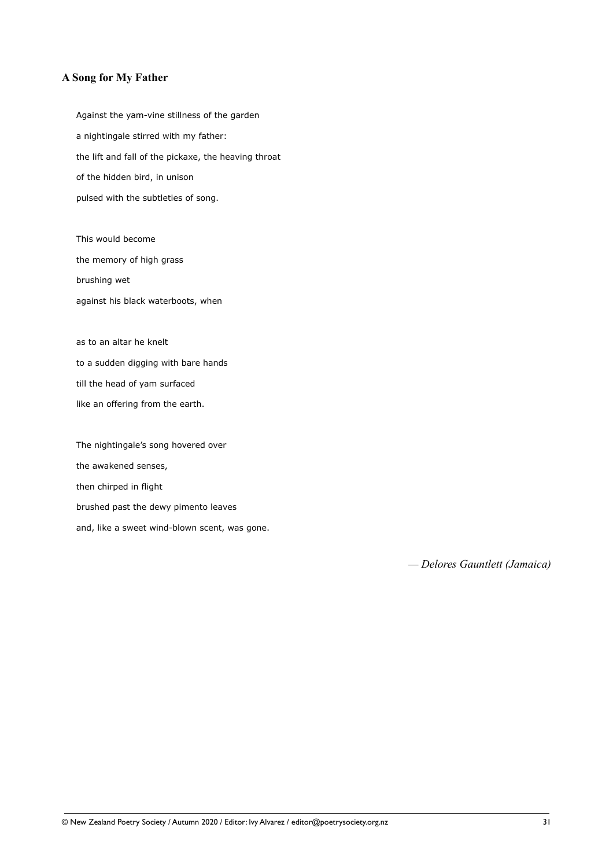#### **A Song for My Father**

Against the yam-vine stillness of the garden a nightingale stirred with my father: the lift and fall of the pickaxe, the heaving throat of the hidden bird, in unison pulsed with the subtleties of song.

This would become the memory of high grass brushing wet against his black waterboots, when

as to an altar he knelt to a sudden digging with bare hands till the head of yam surfaced like an offering from the earth.

The nightingale's song hovered over the awakened senses, then chirped in flight brushed past the dewy pimento leaves and, like a sweet wind-blown scent, was gone.

*— Delores Gauntlett (Jamaica)*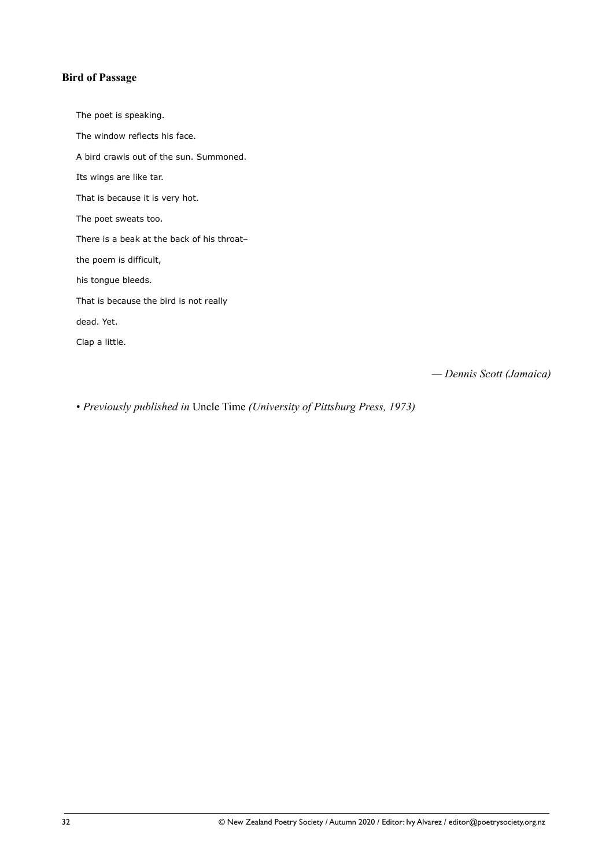#### **Bird of Passage**

The poet is speaking. The window reflects his face. A bird crawls out of the sun. Summoned. Its wings are like tar. That is because it is very hot. The poet sweats too. There is a beak at the back of his throat– the poem is difficult, his tongue bleeds. That is because the bird is not really dead. Yet. Clap a little.

*— Dennis Scott (Jamaica)* 

• *Previously published in* Uncle Time *(University of Pittsburg Press, 1973)*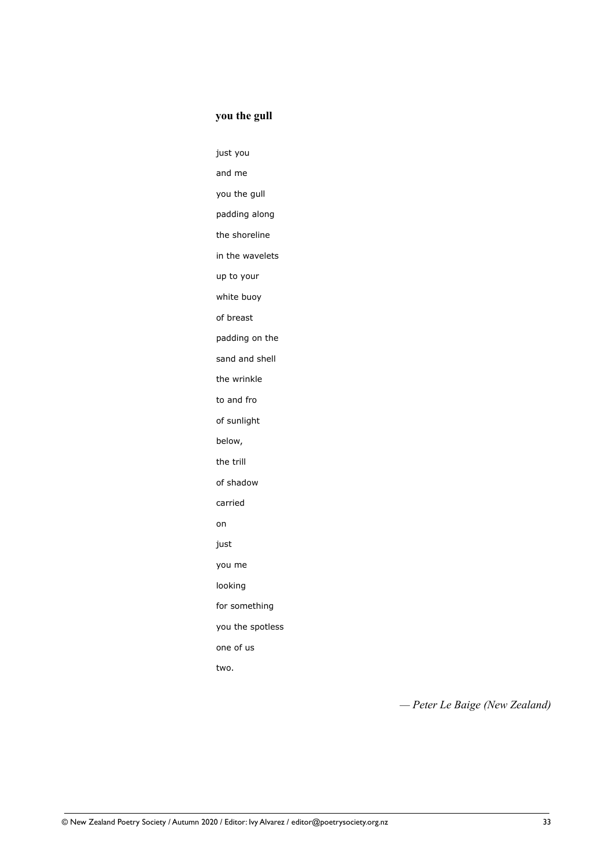#### **you the gull**

just you

and me

you the gull

padding along

the shoreline

in the wavelets

up to your

white buoy

of breast

padding on the

sand and shell

the wrinkle

to and fro

of sunlight

below,

the trill

of shadow

carried

**on** *contract the contract of the contract* on

just

you me

looking

for something

you the spotless

one of us

two.

*— Peter Le Baige (New Zealand)*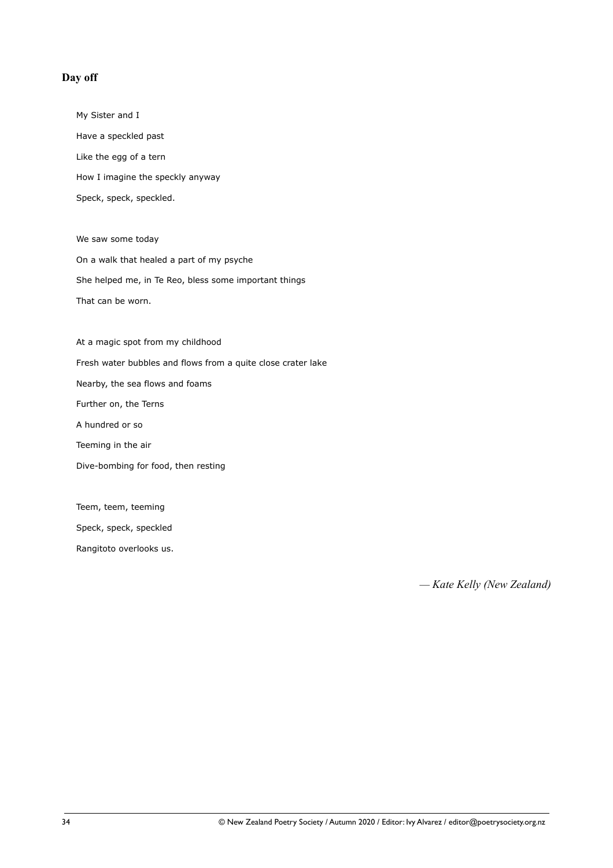#### **Day off**

My Sister and I Have a speckled past Like the egg of a tern How I imagine the speckly anyway Speck, speck, speckled.

We saw some today On a walk that healed a part of my psyche She helped me, in Te Reo, bless some important things That can be worn.

At a magic spot from my childhood Fresh water bubbles and flows from a quite close crater lake Nearby, the sea flows and foams Further on, the Terns A hundred or so Teeming in the air Dive-bombing for food, then resting

Teem, teem, teeming

Speck, speck, speckled

Rangitoto overlooks us.

*— Kate Kelly (New Zealand)*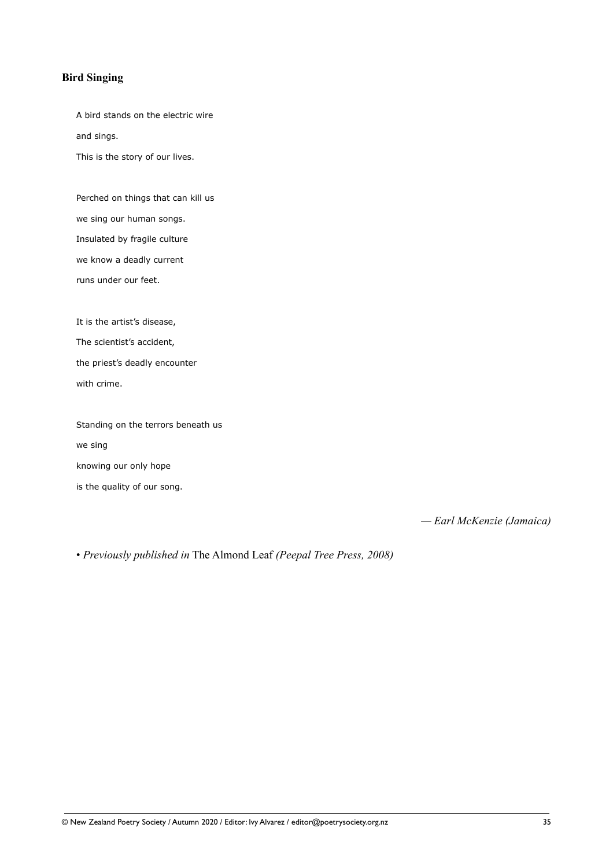#### **Bird Singing**

A bird stands on the electric wire and sings.

This is the story of our lives.

Perched on things that can kill us we sing our human songs. Insulated by fragile culture we know a deadly current runs under our feet.

It is the artist's disease,

The scientist's accident,

the priest's deadly encounter

with crime.

Standing on the terrors beneath us we sing knowing our only hope is the quality of our song.

*— Earl McKenzie (Jamaica)* 

• *Previously published in* The Almond Leaf *(Peepal Tree Press, 2008)*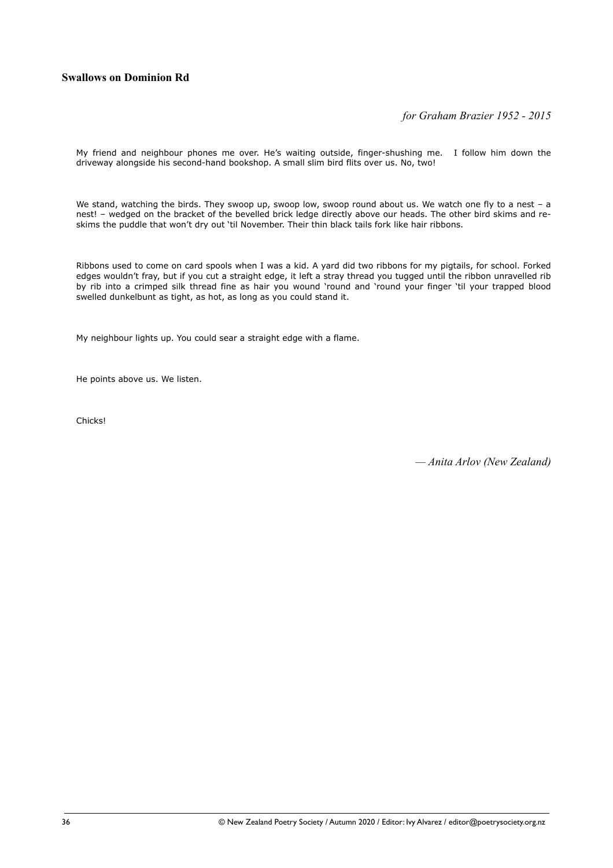#### **Swallows on Dominion Rd**

*for Graham Brazier 1952 - 2015* 

My friend and neighbour phones me over. He's waiting outside, finger-shushing me. I follow him down the driveway alongside his second-hand bookshop. A small slim bird flits over us. No, two!

We stand, watching the birds. They swoop up, swoop low, swoop round about us. We watch one fly to a nest - a nest! – wedged on the bracket of the bevelled brick ledge directly above our heads. The other bird skims and reskims the puddle that won't dry out 'til November. Their thin black tails fork like hair ribbons.

Ribbons used to come on card spools when I was a kid. A yard did two ribbons for my pigtails, for school. Forked edges wouldn't fray, but if you cut a straight edge, it left a stray thread you tugged until the ribbon unravelled rib by rib into a crimped silk thread fine as hair you wound 'round and 'round your finger 'til your trapped blood swelled dunkelbunt as tight, as hot, as long as you could stand it.

My neighbour lights up. You could sear a straight edge with a flame.

He points above us. We listen.

Chicks!

*— Anita Arlov (New Zealand)*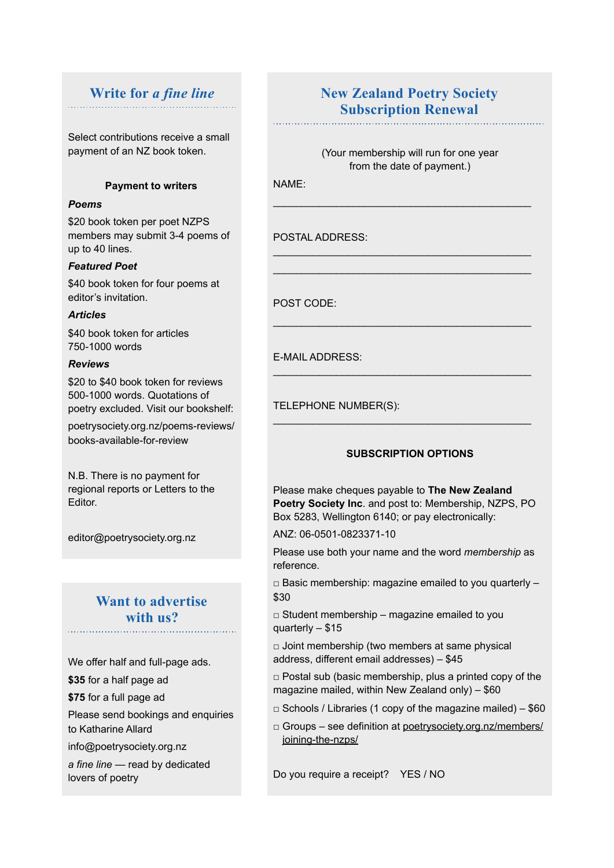#### **Write for** *a fine line*

Select contributions receive a small payment of an NZ book token.

#### **Payment to writers**

#### *Poems*

\$20 book token per poet NZPS members may submit 3-4 poems of up to 40 lines.

#### *Featured Poet*

\$40 book token for four poems at editor's invitation.

#### *Articles*

\$40 book token for articles 750-1000 words

#### *Reviews*

\$20 to \$40 book token for reviews 500-1000 words. Quotations of poetry excluded. Visit our bookshelf:

poetrysociety.org.nz/poems-reviews/ books-available-for-review

N.B. There is no payment for regional reports or Letters to the Editor.

editor@poetrysociety.org.nz

### **Want to advertise with us?**

We offer half and full-page ads.

**\$35** for a half page ad

**\$75** for a full page ad

Please send bookings and enquiries to Katharine Allard

info@poetrysociety.org.nz

*a fine line* — read by dedicated lovers of poetry

#### **New Zealand Poetry Society Subscription Renewal**

(Your membership will run for one year from the date of payment.)

\_\_\_\_\_\_\_\_\_\_\_\_\_\_\_\_\_\_\_\_\_\_\_\_\_\_\_\_\_\_\_\_\_\_\_\_\_\_\_\_\_\_\_\_\_

\_\_\_\_\_\_\_\_\_\_\_\_\_\_\_\_\_\_\_\_\_\_\_\_\_\_\_\_\_\_\_\_\_\_\_\_\_\_\_\_\_\_\_\_\_ \_\_\_\_\_\_\_\_\_\_\_\_\_\_\_\_\_\_\_\_\_\_\_\_\_\_\_\_\_\_\_\_\_\_\_\_\_\_\_\_\_\_\_\_\_

\_\_\_\_\_\_\_\_\_\_\_\_\_\_\_\_\_\_\_\_\_\_\_\_\_\_\_\_\_\_\_\_\_\_\_\_\_\_\_\_\_\_\_\_\_

\_\_\_\_\_\_\_\_\_\_\_\_\_\_\_\_\_\_\_\_\_\_\_\_\_\_\_\_\_\_\_\_\_\_\_\_\_\_\_\_\_\_\_\_\_

\_\_\_\_\_\_\_\_\_\_\_\_\_\_\_\_\_\_\_\_\_\_\_\_\_\_\_\_\_\_\_\_\_\_\_\_\_\_\_\_\_\_\_\_\_

NAME:

POSTAL ADDRESS:

POST CODE:

E-MAIL ADDRESS:

TELEPHONE NUMBER(S):

#### **SUBSCRIPTION OPTIONS**

Please make cheques payable to **The New Zealand Poetry Society Inc**. and post to: Membership, NZPS, PO Box 5283, Wellington 6140; or pay electronically:

ANZ: 06-0501-0823371-10

Please use both your name and the word *membership* as reference.

 $\Box$  Basic membership: magazine emailed to you quarterly  $\Box$ \$30

 $\Box$  Student membership – magazine emailed to you quarterly – \$15

 $\Box$  Joint membership (two members at same physical address, different email addresses) – \$45

 $\Box$  Postal sub (basic membership, plus a printed copy of the magazine mailed, within New Zealand only) – \$60

 $\Box$  Schools / Libraries (1 copy of the magazine mailed) – \$60

□ Groups – see definition at [poetrysociety.org.nz/members/](http://poetrysociety.org.nz/members/joining-the-nzps/) [joining-the-nzps/](http://poetrysociety.org.nz/members/joining-the-nzps/)

Do you require a receipt? YES / NO